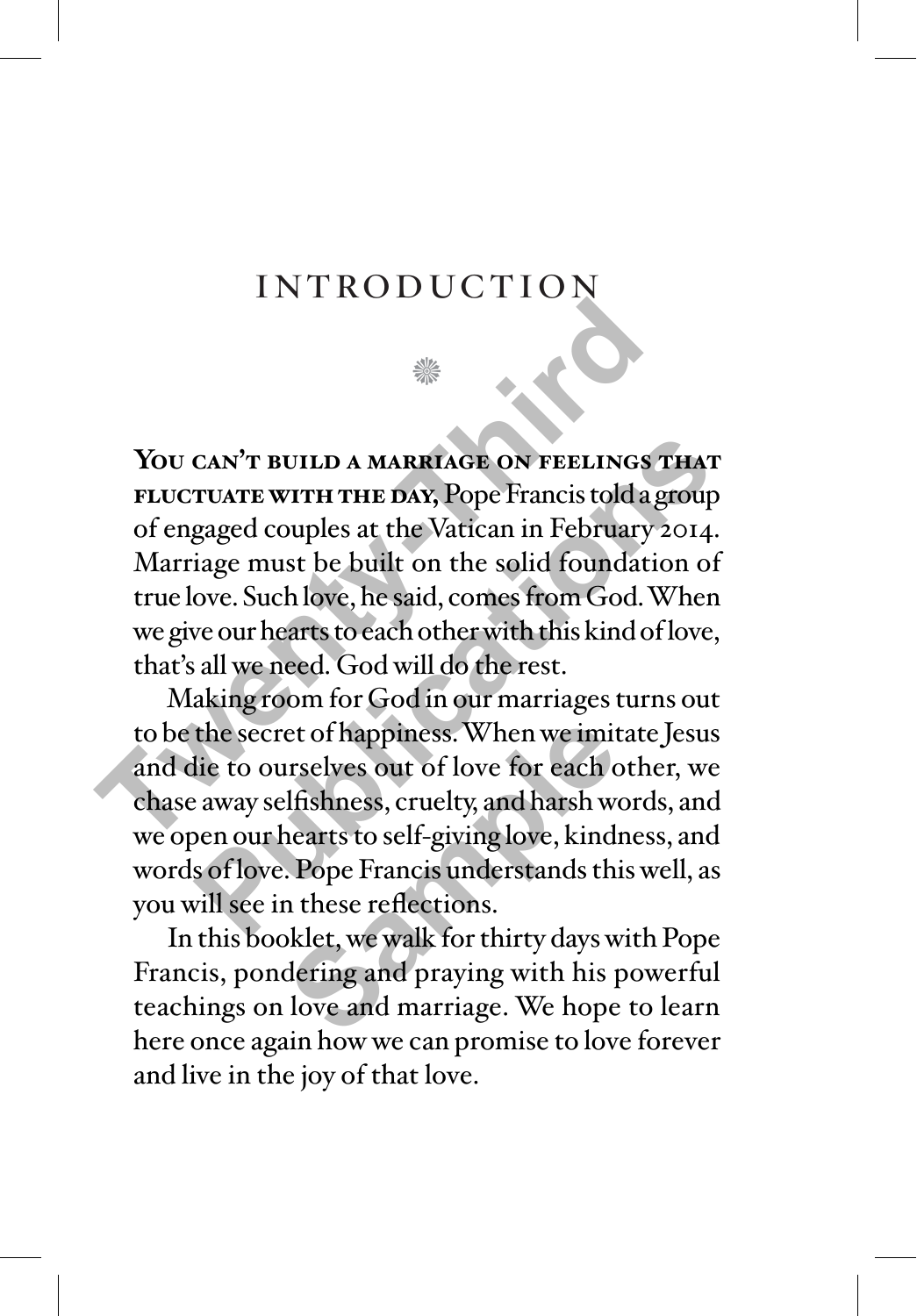## introduction

₩

**You can't build a marriage on feelings that fluctuate with the day,** Pope Francis told a group of engaged couples at the Vatican in February 2014. Marriage must be built on the solid foundation of true love. Such love, he said, comes from God. When we give our hearts to each other with this kind of love, that's all we need. God will do the rest. **THE TERN AND A MARRIAGE ON FEELINGS TRUCTUATE WITH THE DAY, Pope Francis told a good engaged couples at the Vatican in February 2 Marriage must be built on the solid foundation true love. Such love, he said, comes from Go** 

Making room for God in our marriages turns out to be the secret of happiness. When we imitate Jesus and die to ourselves out of love for each other, we chase away selfishness, cruelty, and harsh words, and we open our hearts to self-giving love, kindness, and words of love. Pope Francis understands this well, as you will see in these reflections. CAN'T BUILD A MARRIAGE ON FEELINGS THAT<br>TUATE WITH THE DAY, Pope Francis told a group<br>gaged couples at the Vatican in February 2014.<br>iage must be built on the solid foundation of<br>ove. Such love, he said, comes from God. Wh et of happiness. When we imit<br>irselves out of love for each c<br>lfishness, cruelty, and harsh we<br>nearts to self-giving love, kind<br>. Pope Francis understands thi<br>n these reflections.<br>klet, we walk for thirty days w<br>dering and

In this booklet, we walk for thirty days with Pope Francis, pondering and praying with his powerful teachings on love and marriage. We hope to learn here once again how we can promise to love forever and live in the joy of that love.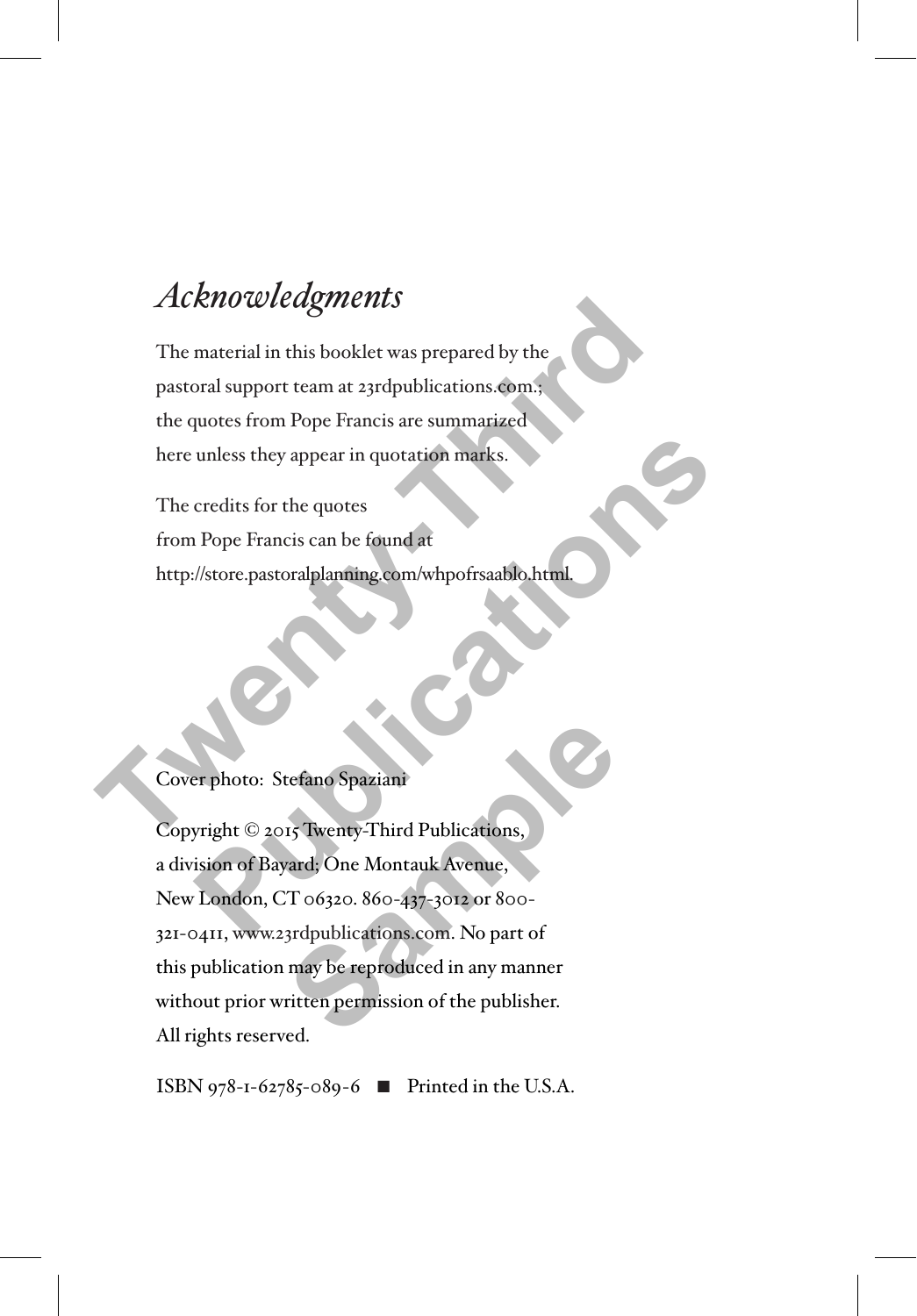# *Acknowledgments*

The material in this booklet was prepared by the pastoral support team at 23rdpublications.com.; the quotes from Pope Francis are summarized here unless they appear in quotation marks. The material in this booklet was prepared by the<br>pastoral support team at 23rdpublications.com.;<br>the quotes from Pope Francis are summarized<br>here unless they appear in quotation marks.<br>The credits for the quotes<br>from Pope

The credits for the quotes from Pope Francis can be found at http://store.pastoralplanning.com/whpofrsaablo.html.

Cover photo: Stefano Spaziani

Copyright © 2015 Twenty-Third Publications, a division of Bayard; One Montauk Avenue, New London, CT 06320. 860-437-3012 or 800- 321-0411, www.23rdpublications.com. No part of this publication may be reproduced in any manner without prior written permission of the publisher. All rights reserved. unless they appear in quotation marks.<br>
credits for the quotes<br>
Pope Francis can be found at<br> *Publications Appears*<br> *Publications Spaziani*<br>
Publications,<br>
Therefore, Stefano Spaziani<br>
Publications,<br>
Publications,<br>
Publi tefano Spaziani<br>15 Twenty-Third Publications,<br>2013, One Montauk Avenue,<br>2013 - 2022 or 800-31<br>3rdpublications.com. No part of<br>may be reproduced in any manner<br>ritten permission of the publisher.

ISBN 978-1-62785-089-6  $\blacksquare$  Printed in the U.S.A.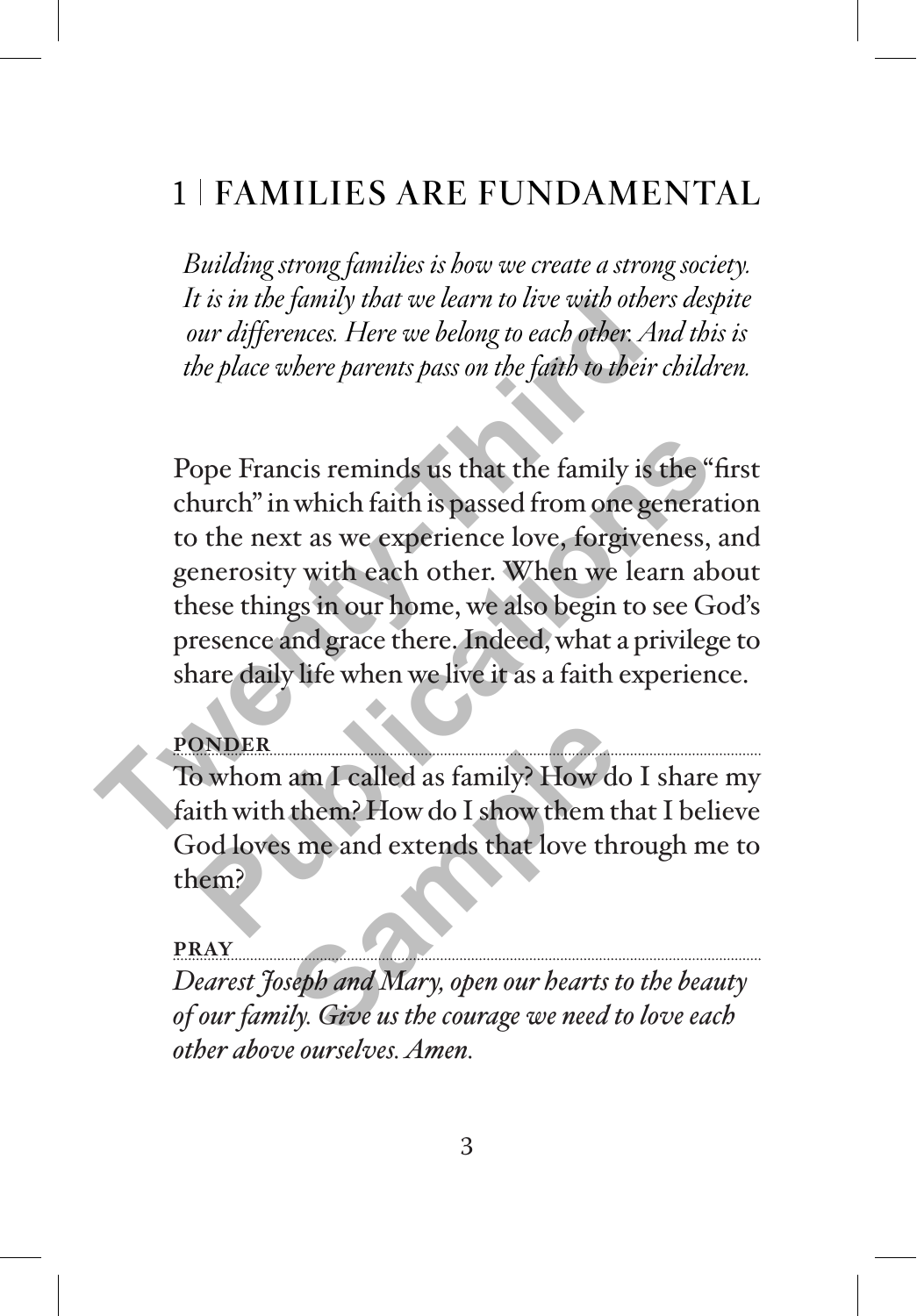# 1 FAMILIES ARE FUNDAMENTAL

*Building strong families is how we create a strong society. It is in the family that we learn to live with others despite our differences. Here we belong to each other. And this is the place where parents pass on the faith to their children.*

Pope Francis reminds us that the family is the "first church" in which faith is passed from one generation to the next as we experience love, forgiveness, and generosity with each other. When we learn about these things in our home, we also begin to see God's presence and grace there. Indeed, what a privilege to share daily life when we live it as a faith experience. It is in the *family that we tearn to twe with other*<br>
our differences. Here we belong to each other. An<br>
the place where parents pass on the faith to their c<br>
Pope Francis reminds us that the family is t<br>
church" in which ope Francis reminds us that the family is the "fir<br>
nurch" in which faith is passed from one generatio<br>
the next as we experience love, forgiveness, ar<br>
nerrosity with each other. When we learn above<br>
nese things in our ho

#### **PONDER**

To whom am I called as family? How do I share my faith with them? How do I show them that I believe God loves me and extends that love through me to them? am I called as family? How do<br>them? How do I show them t<br>s me and extends that love the<br>seph and Mary, open our hearts t<br>siy. Give us the courage we need t

#### **PRAY**

*Dearest Joseph and Mary, open our hearts to the beauty of our family. Give us the courage we need to love each other above ourselves. Amen.*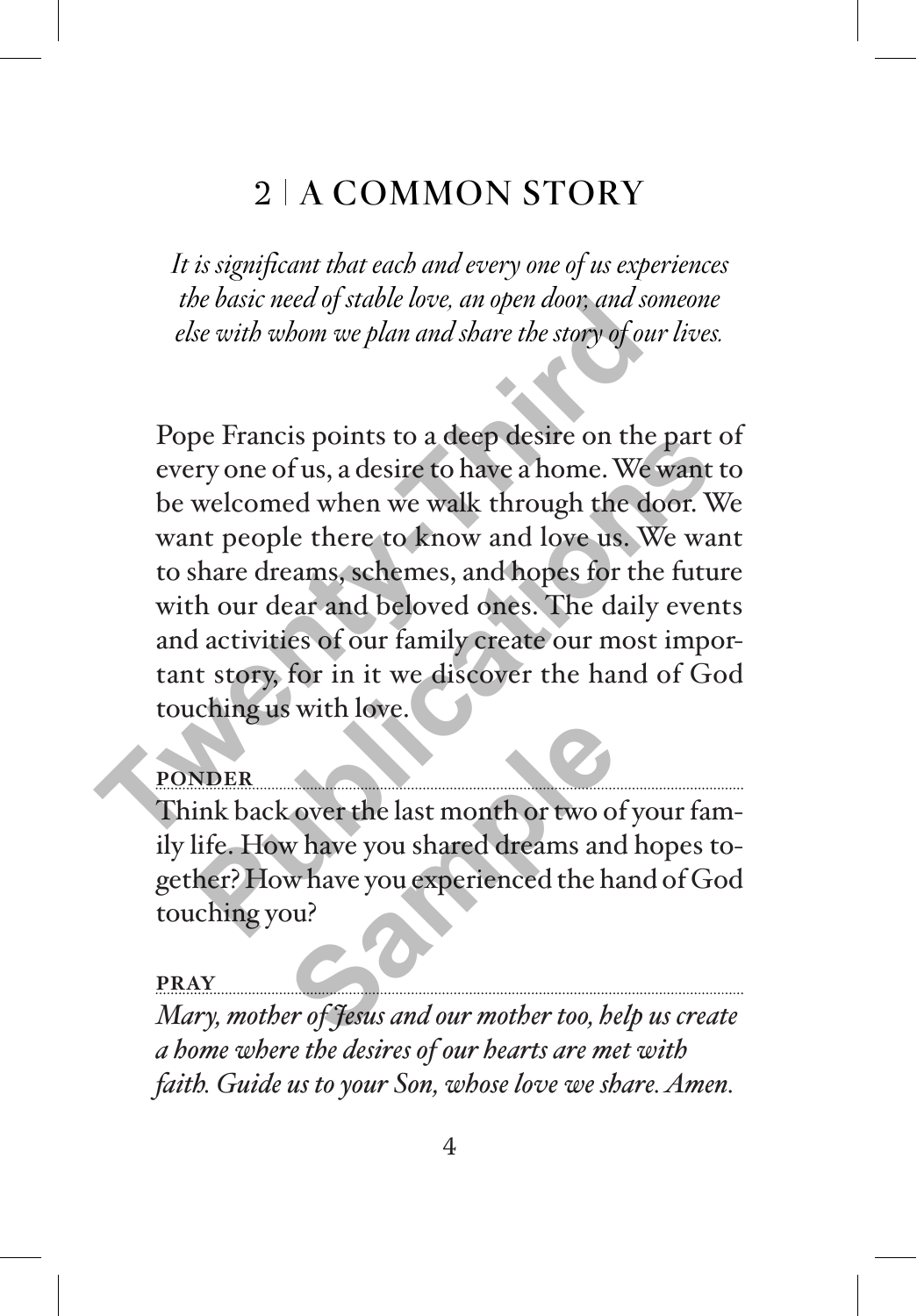# $2$  A COMMON STORY

*It is significant that each and every one of us experiences the basic need of stable love, an open door, and someone else with whom we plan and share the story of our lives.* 

Pope Francis points to a deep desire on the part of every one of us, a desire to have a home. We want to be welcomed when we walk through the door. We want people there to know and love us. We want to share dreams, schemes, and hopes for the future with our dear and beloved ones. The daily events and activities of our family create our most important story, for in it we discover the hand of God touching us with love. the basic heed of stable love, an open abon; and som<br>else with whom we plan and share the story of our<br>Pope Francis points to a deep desire on the p<br>every one of us, a desire to have a home. We we<br>be welcomed when we walk pe Francis points to a deep desire on the part of<br>ry one of us, a desire to have a home. We want to<br>welcomed when we walk through the door. We<br>nt people there to know and love us. We want<br>share dreams, schemes, and hopes f

## **PONDER**

Think back over the last month or two of your family life. How have you shared dreams and hopes together? How have you experienced the hand of God touching you? Example 18 and the same of the last month or two or<br>
We have you shared dreams and<br>
Whave you experienced the ha<br>
Samples 18 and 18 and 18 and 18 and 18 and 18 and 18 and 18 and 18 and 18 and 18 and 18 and 18 and 18 and 18

#### **PRAY**

*Mary, mother of Jesus and our mother too, help us create a home where the desires of our hearts are met with faith. Guide us to your Son, whose love we share. Amen.*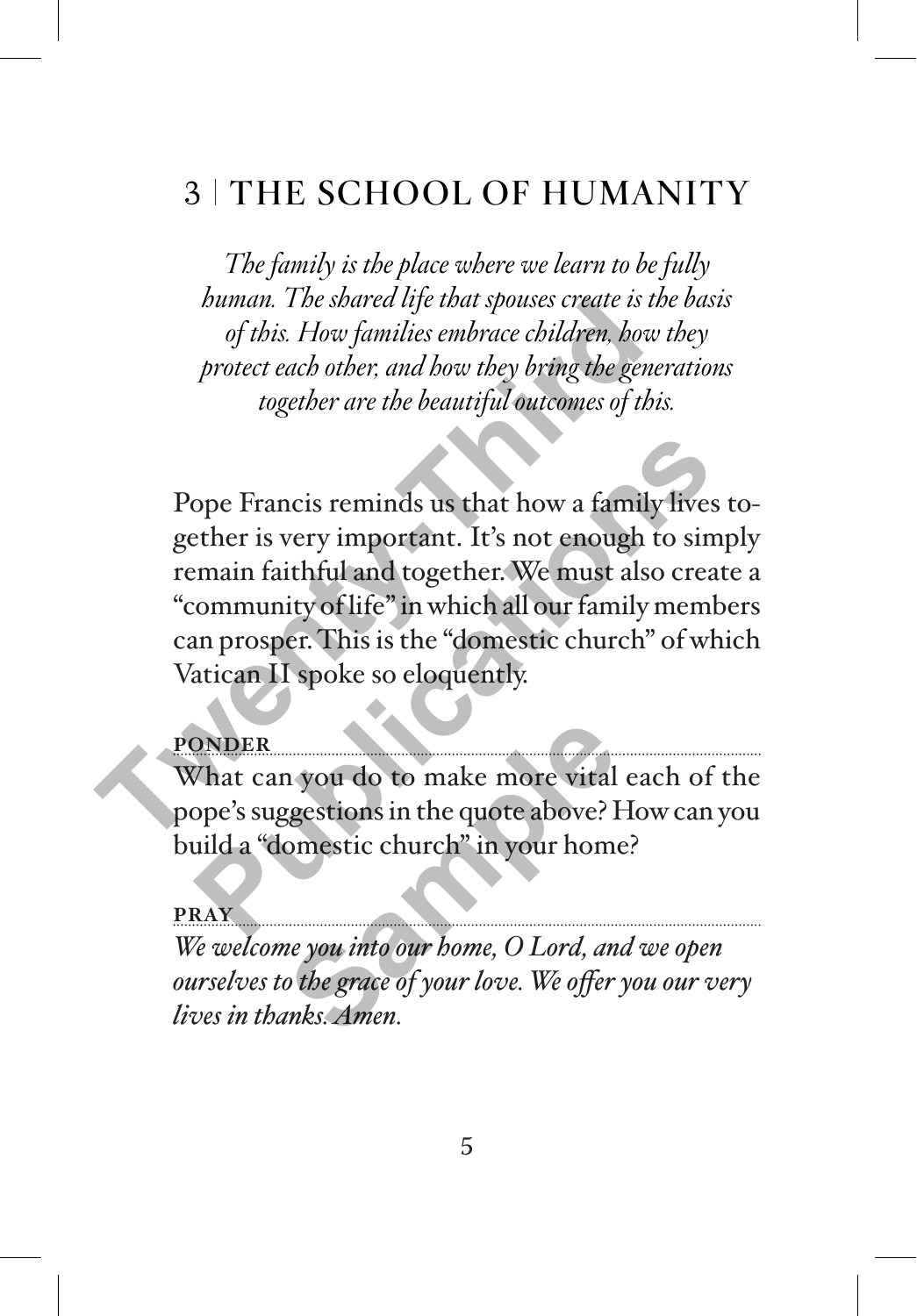## 3 THE SCHOOL OF HUMANITY

*The family is the place where we learn to be fully human. The shared life that spouses create is the basis of this. How families embrace children, how they protect each other, and how they bring the generations together are the beautiful outcomes of this.* 

Pope Francis reminds us that how a family lives together is very important. It's not enough to simply remain faithful and together. We must also create a "community of life" in which all our family members can prosper. This is the "domestic church" of which Vatican II spoke so eloquently. *Thuman. 1 be spared ufe that spokes create is the of this. How families embrace children, how if protect each other, and how they bring the gener together are the beautiful outcomes of this embrace of this embrace of this* ope Francis reminds us that how a family lives to<br>
ether is very important. It's not enough to simp<br>
main faithful and together. We must also create<br>
community of life" in which all our family membe<br>
an prosper. This is th

#### **PONDER**

What can you do to make more vital each of the pope's suggestions in the quote above? How can you build a "domestic church" in your home? **Sample 19 and 19 and 19 and 19 and 19 and 19 and 19 and 19 and 19 and 19 and 19 and 19 and 19 and 19 and 19 and 19 and 19 and 19 and 19 and 19 and 19 and 19 and 19 and 19 and 19 and 19 and 19 and 19 and 19 and 19 and 19 a** 

**PRAY**

*We welcome you into our home, O Lord, and we open ourselves to the grace of your love. We offer you our very lives in thanks. Amen.*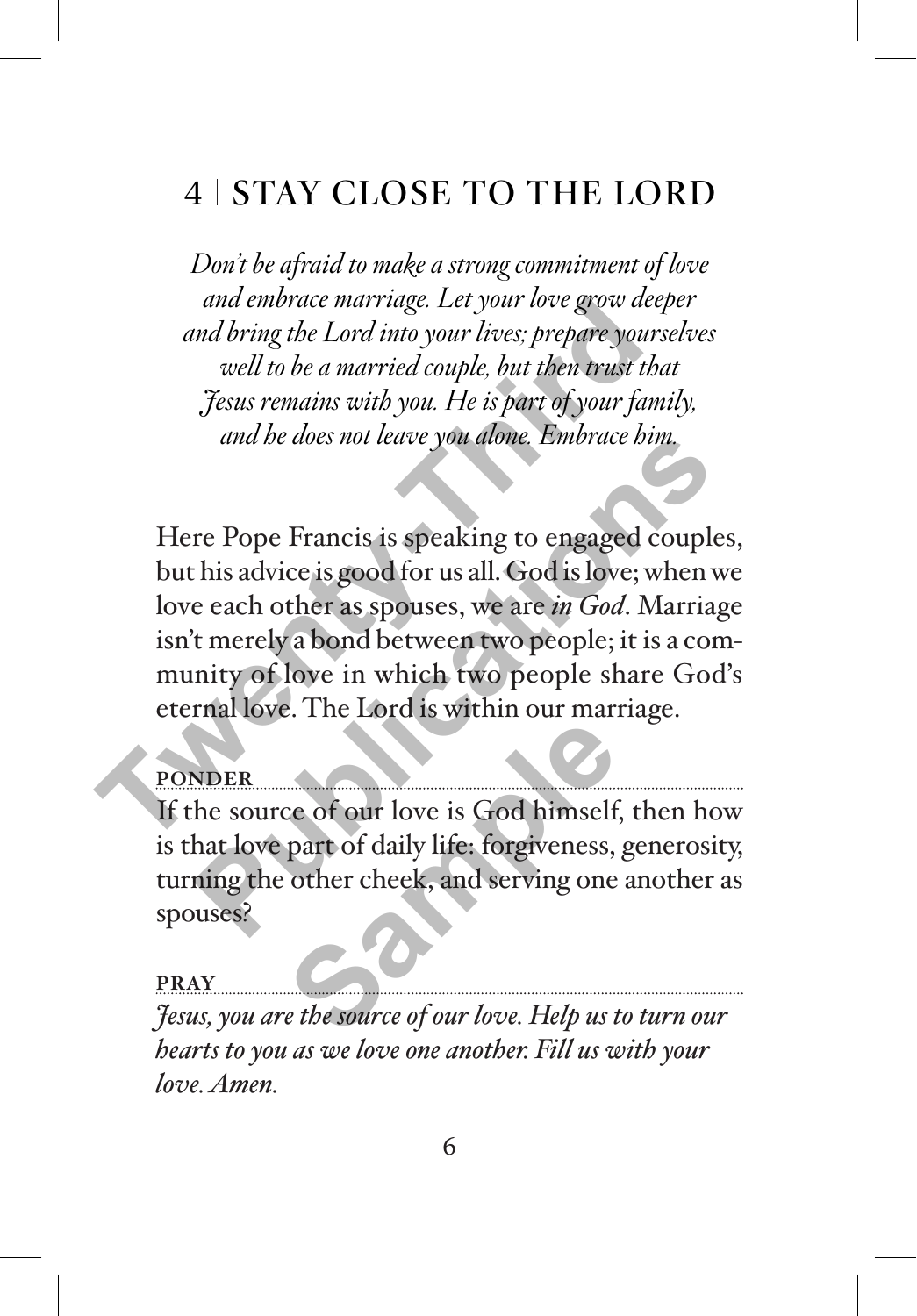# 4 STAY CLOSE TO THE LORD

*Don't be afraid to make a strong commitment of love and embrace marriage. Let your love grow deeper and bring the Lord into your lives; prepare yourselves well to be a married couple, but then trust that Jesus remains with you. He is part of your family, and he does not leave you alone. Embrace him.*

Here Pope Francis is speaking to engaged couples, but his advice is good for us all. God is love; when we love each other as spouses, we are *in God*. Marriage isn't merely a bond between two people; it is a community of love in which two people share God's eternal love. The Lord is within our marriage. and embrace marriage. Let your love grow ace<br>and bring the Lord into your lives; prepare yours,<br>well to be a married couple, but then trust that<br>Festus remains with you. He is part of your family<br>and he does not leave you and be does not leave you dome. Embrace bim.<br>
The Pope Francis is speaking to engaged couples.<br>
This advice is good for us all. God is love; when we<br>
e each other as spouses, we are *in God*. Marriage<br>
t merely a bond betw

### **PONDER**

If the source of our love is God himself, then how is that love part of daily life: forgiveness, generosity, turning the other cheek, and serving one another as spouses? Ce of our love is God himself<br>part of daily life: forgiveness,<br>other cheek, and serving one<br>*Explored to the source of our love. Help us t* 

#### **PRAY**

*Jesus, you are the source of our love. Help us to turn our hearts to you as we love one another. Fill us with your love. Amen.*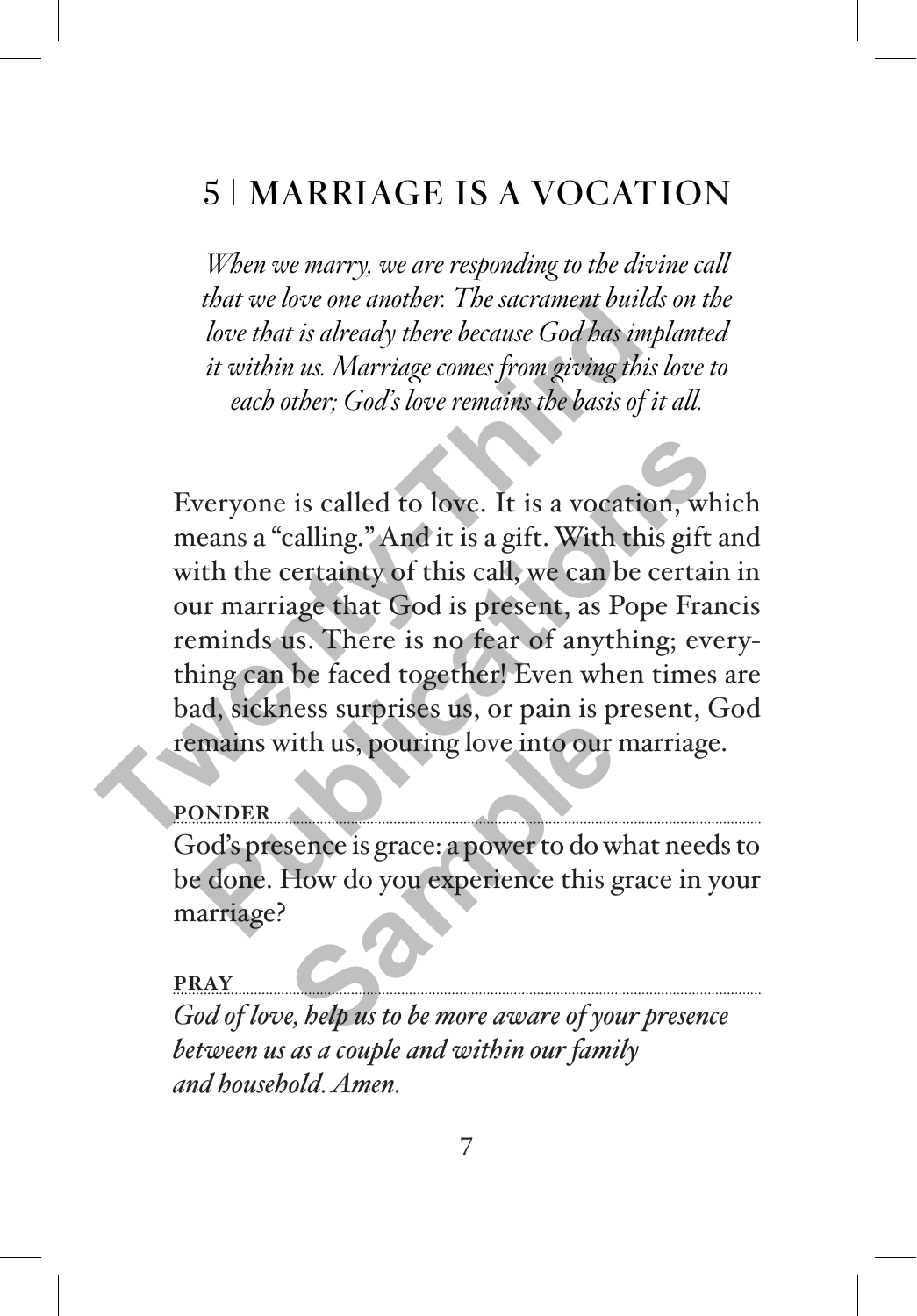# 5 | MARRIAGE IS A VOCATION

*When we marry, we are responding to the divine call that we love one another. The sacrament builds on the love that is already there because God has implanted it within us. Marriage comes from giving this love to each other; God's love remains the basis of it all.*

Everyone is called to love. It is a vocation, which means a "calling." And it is a gift. With this gift and with the certainty of this call, we can be certain in our marriage that God is present, as Pope Francis reminds us. There is no fear of anything; everything can be faced together! Even when times are bad, sickness surprises us, or pain is present, God remains with us, pouring love into our marriage. **Twenty-Third**  veryone is called to love. It is a vocation, which<br>eans a "calling." And it is a gift. With this gift are it in the certainty of this call, we can be certain<br>ur marriage that God is present, as Pope France<br>minds us. There

#### **PONDER**

God's presence is grace: a power to do what needs to be done. How do you experience this grace in your marriage? with us, pouring love into our<br>sence is grace: a power to do w<br>How do you experience this g<br>e, belp us to be more aware of you

**PRAY** *God of love, help us to be more aware of your presence between us as a couple and within our family and household. Amen.*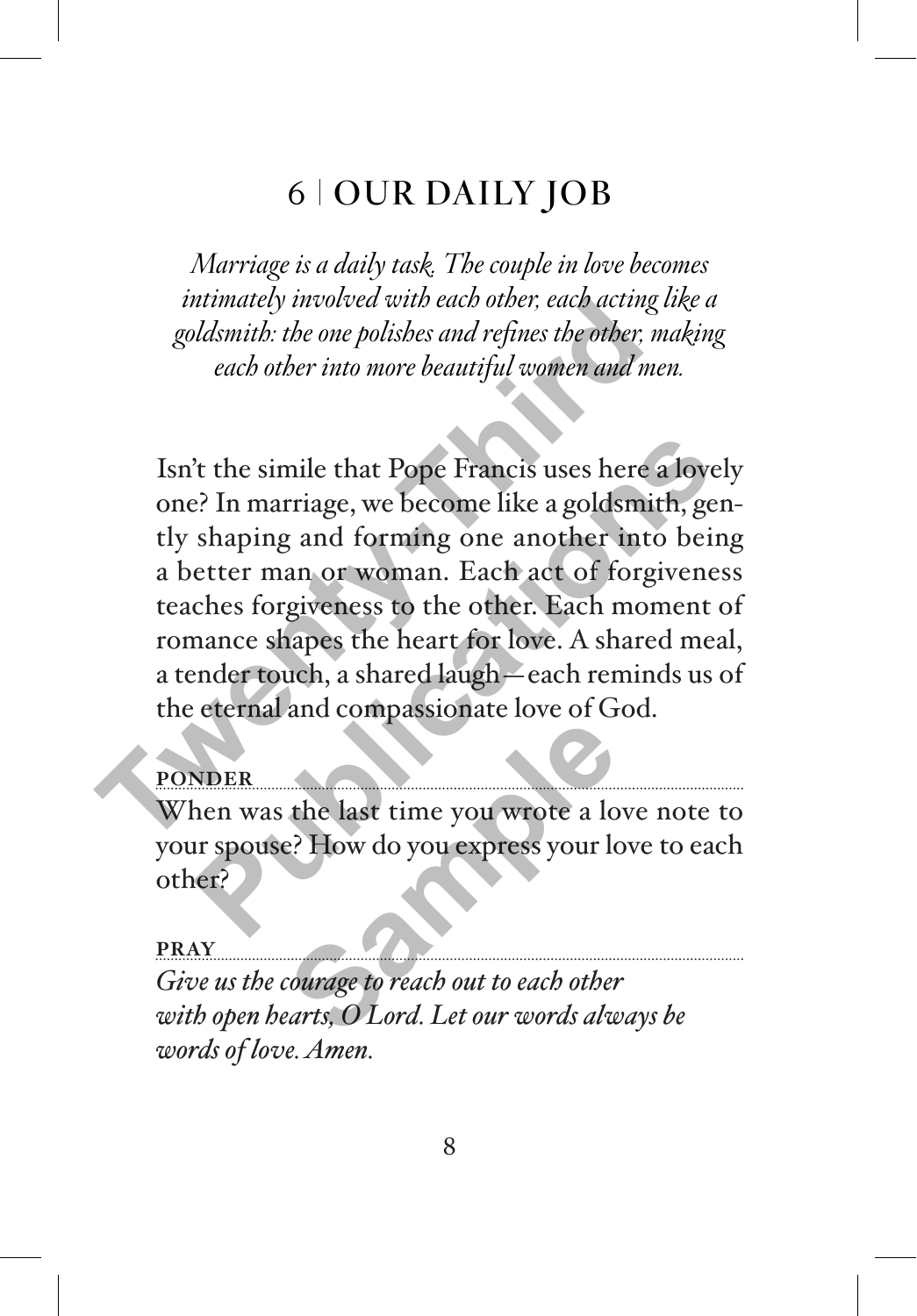## 6 OUR DAILY JOB

*Marriage is a daily task. The couple in love becomes intimately involved with each other, each acting like a goldsmith: the one polishes and refines the other, making each other into more beautiful women and men.* 

Isn't the simile that Pope Francis uses here a lovely one? In marriage, we become like a goldsmith, gently shaping and forming one another into being a better man or woman. Each act of forgiveness teaches forgiveness to the other. Each moment of romance shapes the heart for love. A shared meal, a tender touch, a shared laugh—each reminds us of the eternal and compassionate love of God. minately involved with each other, each acting is<br>goldsmith: the one polishes and refines the other, m<br>each other into more beautiful women and met<br>ISn't the simile that Pope Francis uses here a<br>one? In marriage, we become <sup>2</sup> the simile that Pope Francis uses here a lovely<br>
<sup>2</sup> In marriage, we become like a goldsmith, genshaping and forming one another into being<br>
etter man or woman. Each act of forgiveness<br>
ches forgiveness to the other. E

### **PONDER**

When was the last time you wrote a love note to your spouse? How do you express your love to each other? **EXECUTE:**<br>
When was the last time you wrote a love not<br>
your spouse? How do you express your love to<br>
other?<br>
FRAY<br>
Give us the courage to reach out to each other<br>
with open hearts, O Lord. Let our words always be

#### **PRAY**

*Give us the courage to reach out to each other words of love. Amen.*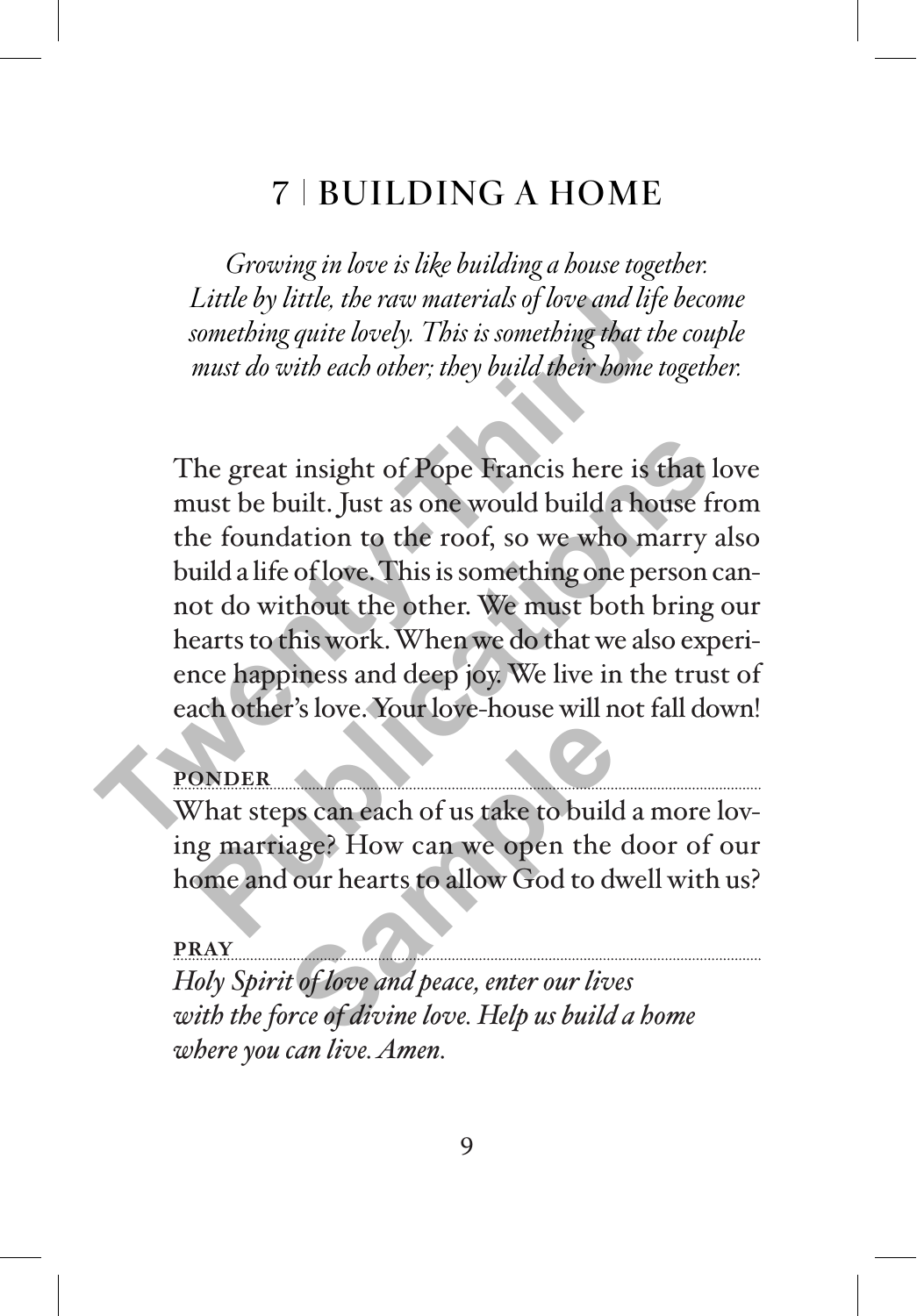# 7 BUILDING A HOME

*Growing in love is like building a house together. Little by little, the raw materials of love and life become something quite lovely. This is something that the couple must do with each other; they build their home together.*

The great insight of Pope Francis here is that love must be built. Just as one would build a house from the foundation to the roof, so we who marry also build a life of love. This is something one person cannot do without the other. We must both bring our hearts to this work. When we do that we also experience happiness and deep joy. We live in the trust of each other's love. Your love-house will not fall down! Little by little, the raw materials of love and life<br>something quite lovely. This is something that the<br>must do with each other; they build their home to<br>must be with each other; they build their home to<br>The great insight The great insight of Pope Francis here is that low ust be built. Just as one would build a house from the foundation to the roof, so we who marry alsuild a life of love. This is something one person can bot do without the

### PONDER

What steps can each of us take to build a more loving marriage? How can we open the door of our home and our hearts to allow God to dwell with us? ps can each of us take to build<br>age? How can we open the<br>lour hearts to allow God to dv<br>to flove and peace, enter our live<br>orce of divine love. Help us build

#### **PRAY**

*Holy Spirit of love and peace, enter our lives with the force of divine love. Help us build a home where you can live. Amen.*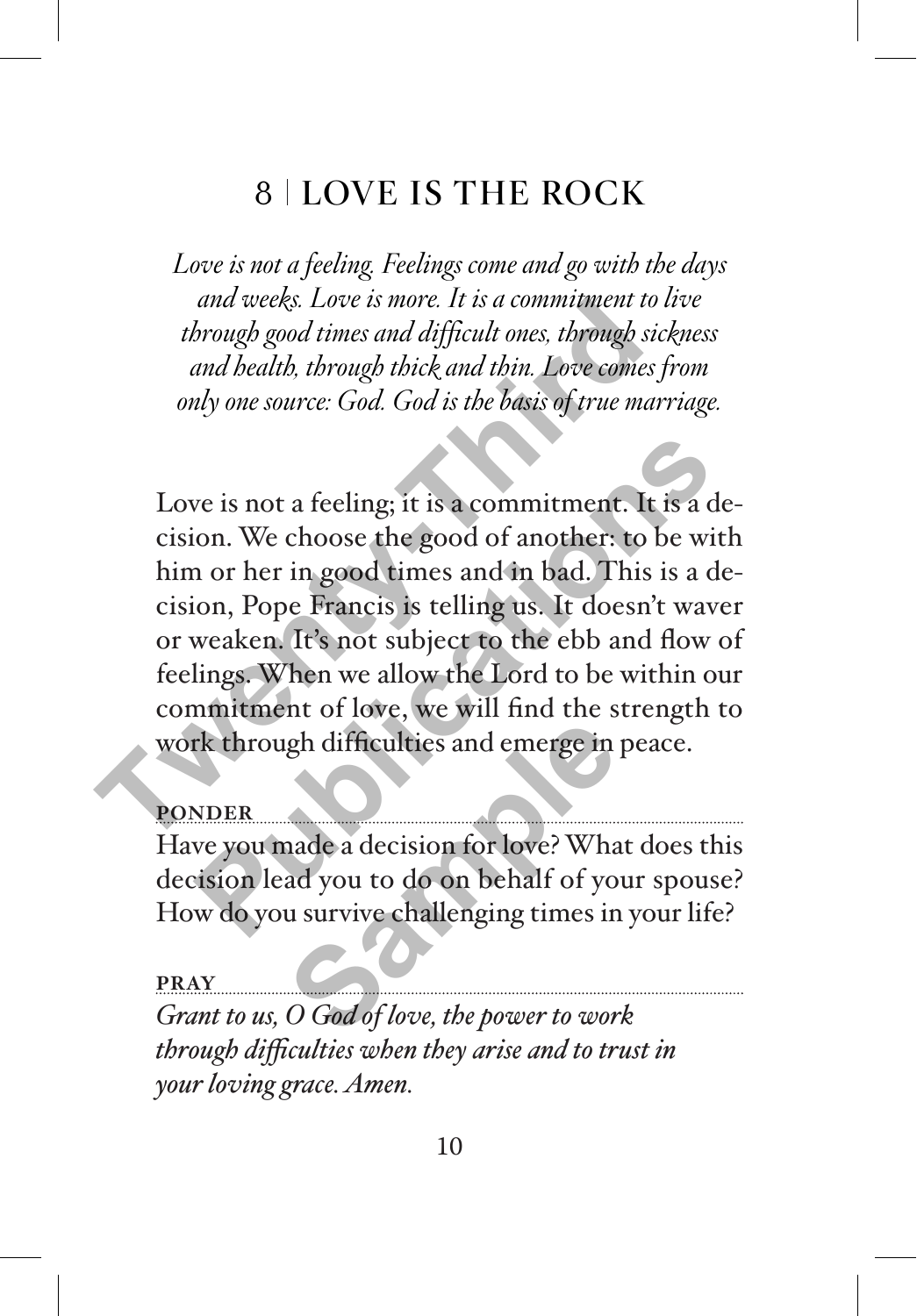# 8 LOVE IS THE ROCK

*Love is not a feeling. Feelings come and go with the days and weeks. Love is more. It is a commitment to live through good times and difficult ones, through sickness and health, through thick and thin. Love comes from only one source: God. God is the basis of true marriage.*

Love is not a feeling; it is a commitment. It is a decision. We choose the good of another: to be with him or her in good times and in bad. This is a decision, Pope Francis is telling us. It doesn't waver or weaken. It's not subject to the ebb and flow of feelings. When we allow the Lord to be within our commitment of love, we will find the strength to work through difficulties and emerge in peace. and weeks. Love is more. It is a communiment to through good times and difficult ones, through sice and health, through thick and thin. Love comes f only one source: God. God is the basis of true married only one source: G **Publication**<br> **Publication**: **Publication**: **Publication**: **Publication**. We choose the good of another: to be with<br>
n or her in good times and in bad. This is a de-<br>
ion, Pope Francis is telling us. It doesn't wave<br>
weak

#### **PONDER**

Have you made a decision for love? What does this decision lead you to do on behalf of your spouse? How do you survive challenging times in your life? gh difficulties and emerge in<br>aade a decision for love? What<br>ad you to do on behalf of you survive challenging times in<br>O God of love, the power to wor

#### **PRAY**

*Grant to us, O God of love, the power to work through difficulties when they arise and to trust in your loving grace. Amen.*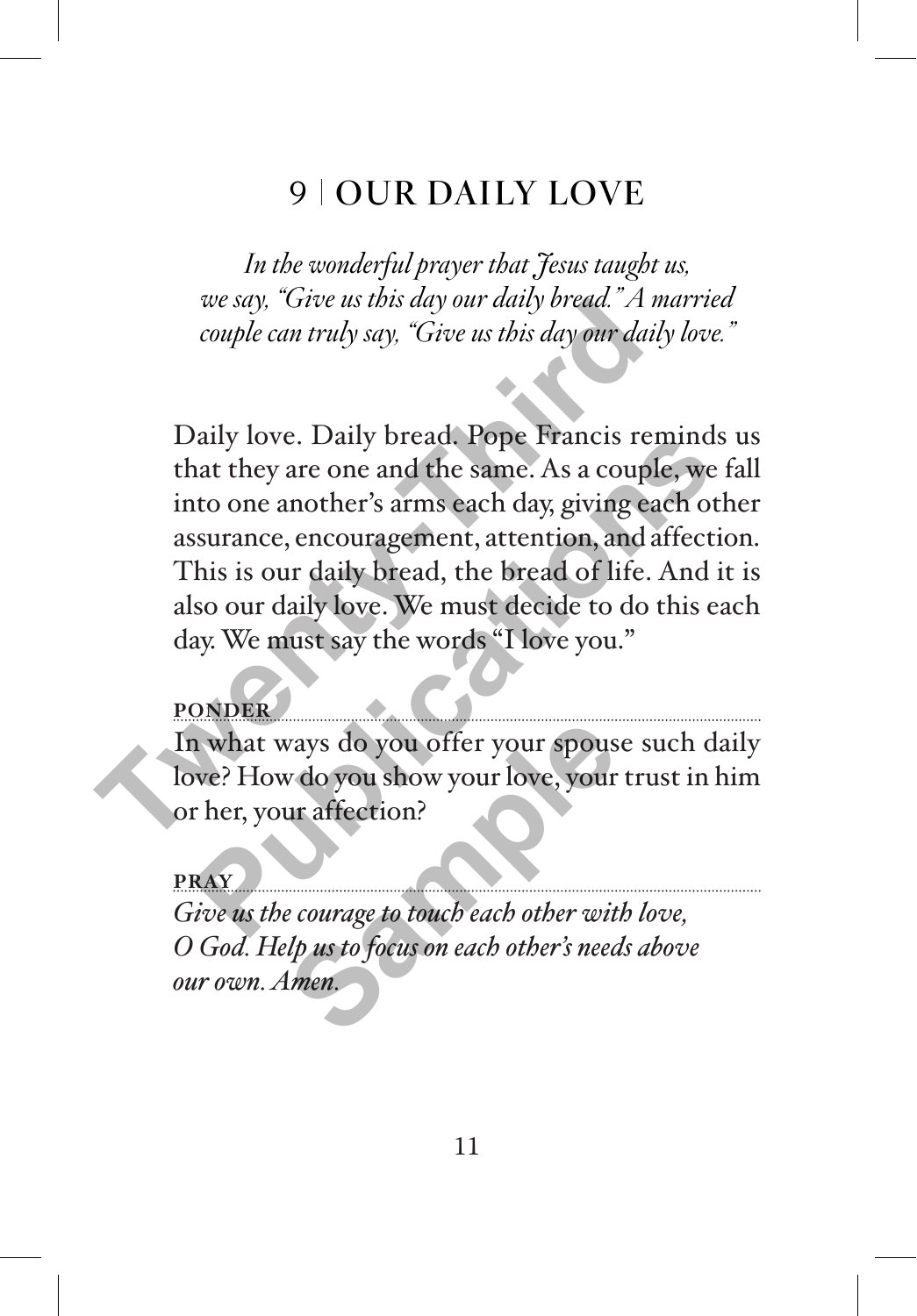## 9 | OUR DAILY LOVE

*In the wonderful prayer that Jesus taught us, we say, "Give us this day our daily bread." A married couple can truly say, "Give us this day our daily love."*

Daily love. Daily bread. Pope Francis reminds us that they are one and the same. As a couple, we fall into one another's arms each day, giving each other assurance, encouragement, attention, and affection. This is our daily bread, the bread of life. And it is also our daily love. We must decide to do this each day. We must say the words "I love you." *The us this day our daily bread. A m*<br>couple can truly say, "Give us this day our daily<br>Daily love. Daily bread. Pope Francis ren<br>that they are one and the same. As a couple<br>into one another's arms each day, giving ead<br>as Publication and the same. As a couple, we faith they are one and the same. As a couple, we faith to one another's arms each day, giving each oth surance, encouragement, attention, and affection his is our daily bread, the

#### **PONDER**

In what ways do you offer your spouse such daily love? How do you show your love, your trust in him or her, your affection? vays do you offer your spous<br>
v do you show your love, your<br>
ur affection?<br>
e courage to touch each other wite<br>
lp us to focus on each other's need<br>
men.

**PRAY**

*Give us the courage to touch each other with love, O God. Help us to focus on each other's needs above our own. Amen.*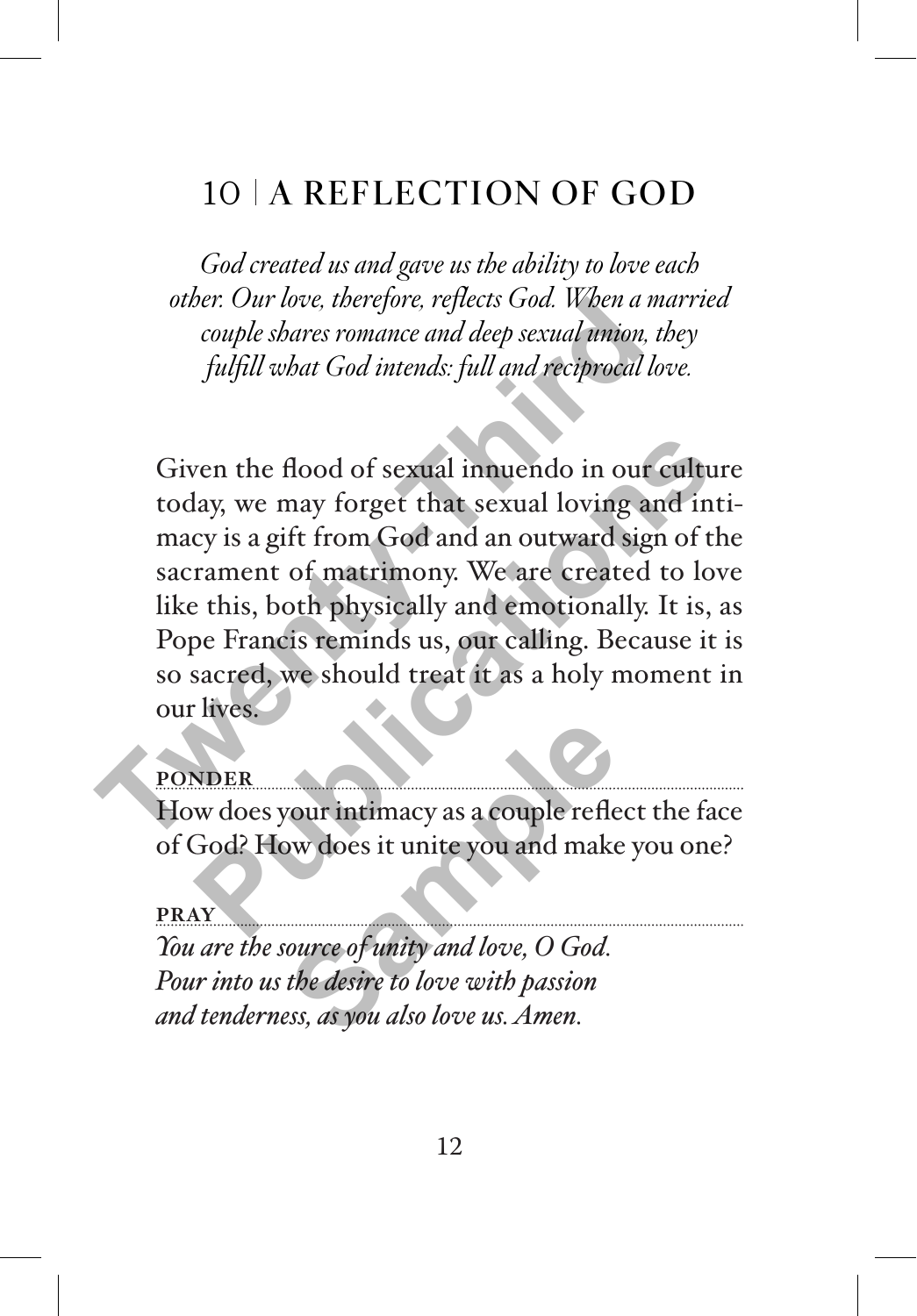# 10 A REFLECTION OF GOD

*God created us and gave us the ability to love each other. Our love, therefore, reflects God. When a married couple shares romance and deep sexual union, they fulfill what God intends: full and reciprocal love.*

Given the flood of sexual innuendo in our culture today, we may forget that sexual loving and intimacy is a gift from God and an outward sign of the sacrament of matrimony. We are created to love like this, both physically and emotionally. It is, as Pope Francis reminds us, our calling. Because it is so sacred, we should treat it as a holy moment in our lives. other: Our love, therefore, replects Goa. When a motion couple shares romance and deep sexual union, the fulfill what God intends: full and reciprocal lot<br>fulfill what God intends: full and reciprocal lot<br>colay, we may for Francis Comparent Contract Comparent Comparation and the sexual loving and inti-<br>cy is a gift from God and an outward sign of the<br>rament of matrimony. We are created to love<br>e this, both physically and emotionally. It is,

#### **PONDER**

How does your intimacy as a couple reflect the face of God? How does it unite you and make you one?

#### **PRAY**

*You are the source of unity and love, O God. Pour into us the desire to love with passion and tenderness, as you also love us. Amen.* **Sample 1999**<br>
Sample 1999<br>
Sample 1999<br>
Sample 1999<br>
Sample 1999<br>
Sample 1999<br>
Sample 1999<br>
Sample 1999<br>
Sample 1999<br>
Sample 1999<br>
Sample 1999<br>
Sample 1999<br>
Sample 1999<br>
Sample 1999<br>
Sample 1999<br>
Sample 1999<br>
Sample 1999<br>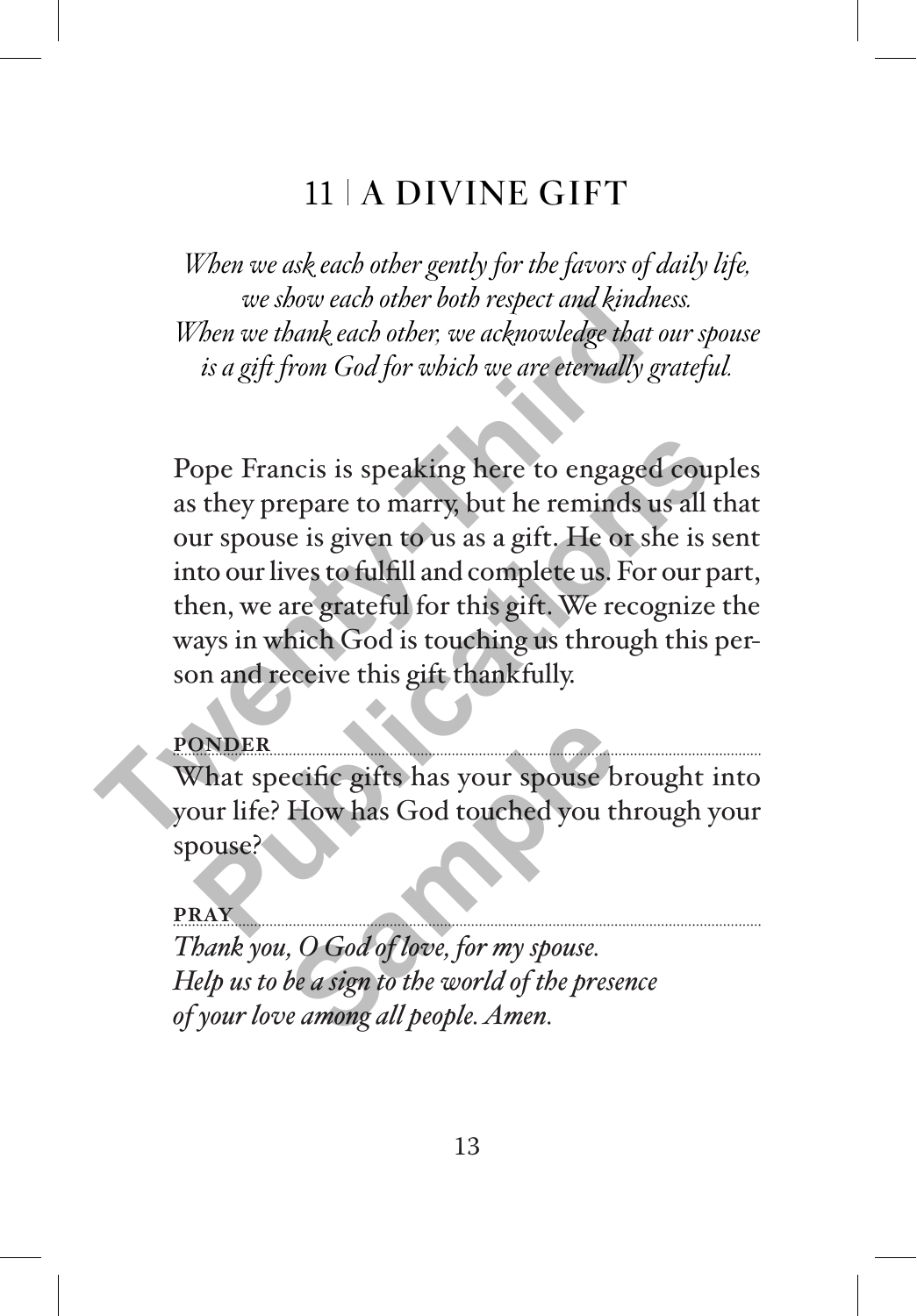## 11 A DIVINE GIFT

*When we ask each other gently for the favors of daily life, we show each other both respect and kindness. When we thank each other, we acknowledge that our spouse is a gift from God for which we are eternally grateful.* 

Pope Francis is speaking here to engaged couples as they prepare to marry, but he reminds us all that our spouse is given to us as a gift. He or she is sent into our lives to fulfill and complete us. For our part, then, we are grateful for this gift. We recognize the ways in which God is touching us through this person and receive this gift thankfully. When we thank each other vota respect and kinane<br>When we thank each other, we acknowledge that o<br>is a gift from God for which we are eternally gr<br>Pope Francis is speaking here to engaged<br>as they prepare to marry, but he re ope Francis is speaking here to engaged couplist they prepare to marry, but he reminds us all the ur spouse is given to us as a gift. He or she is set to our lives to fulfill and complete us. For our paramen, we are gratef

#### **PONDER**

What specific gifts has your spouse brought into your life? How has God touched you through your spouse?

**PRAY** *Thank you, O God of love, for my spouse. Help us to be a sign to the world of the presence of your love among all people. Amen.* ecific gifts has your spouse b<br>How has God touched you t<br>*Sample 1* you the *Sample of love*, for *my spouse.*<br>be a sign to the world of the prese<br>e among all people. Amen.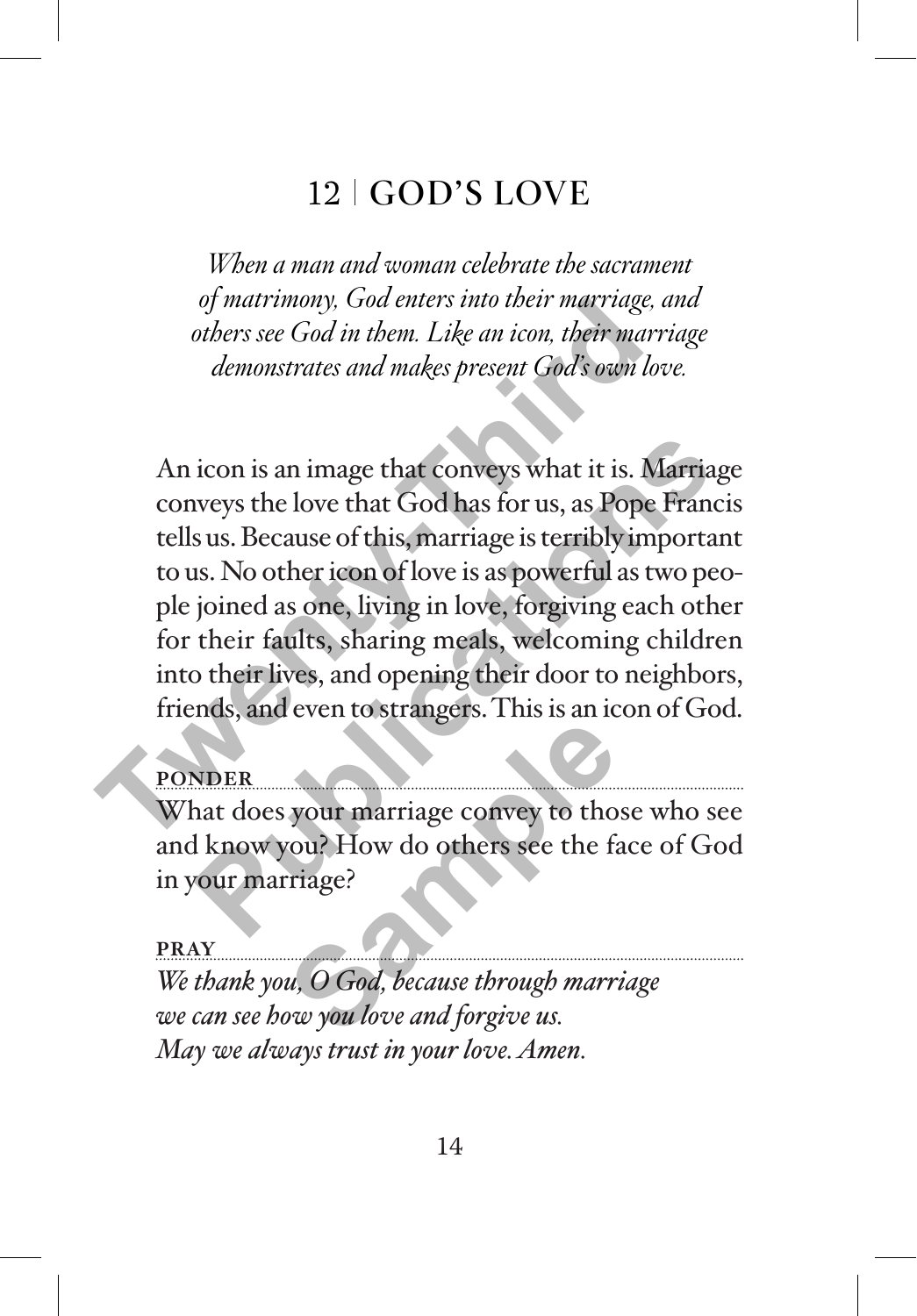# 12 GOD'S LOVE

*When a man and woman celebrate the sacrament of matrimony, God enters into their marriage, and others see God in them. Like an icon, their marriage demonstrates and makes present God's own love.* 

An icon is an image that conveys what it is. Marriage conveys the love that God has for us, as Pope Francis tells us. Because of this, marriage is terribly important to us. No other icon of love is as powerful as two people joined as one, living in love, forgiving each other for their faults, sharing meals, welcoming children into their lives, and opening their door to neighbors, friends, and even to strangers. This is an icon of God. of matrimony, Goa enters into their marriage, a<br>others see God in them. Like an icon, their marriage, a<br>demonstrates and makes present God's own lot<br>demonstrates and makes present God's own lot<br>conveys the love that God ha icon is an image that conveys what it is. Marriage<br>weys the love that God has for us, as Pope Francis<br>sus. Because of this, marriage is terribly important<br>as. No other icon of love is as powerful as two peo-<br>joined as one,

## **PONDER**

What does your marriage convey to those who see and know you? How do others see the face of God in your marriage? **Sample 1999**<br> **Sample Concept State 1999**<br> **Sample 2014**<br> **Sample 2014**<br> **Sample 2014**<br> **Sample 2019**<br> **Sample 2019**<br> **Sample 2019**<br> **Sample 2019**<br> **Sample 2019**<br> **Sample 2019**<br> **Sample 2019**<br> **Sample 2019**<br> **Sample 2019** 

#### **PRAY**

*We thank you, O God, because through marriage we can see how you love and forgive us. May we always trust in your love. Amen.*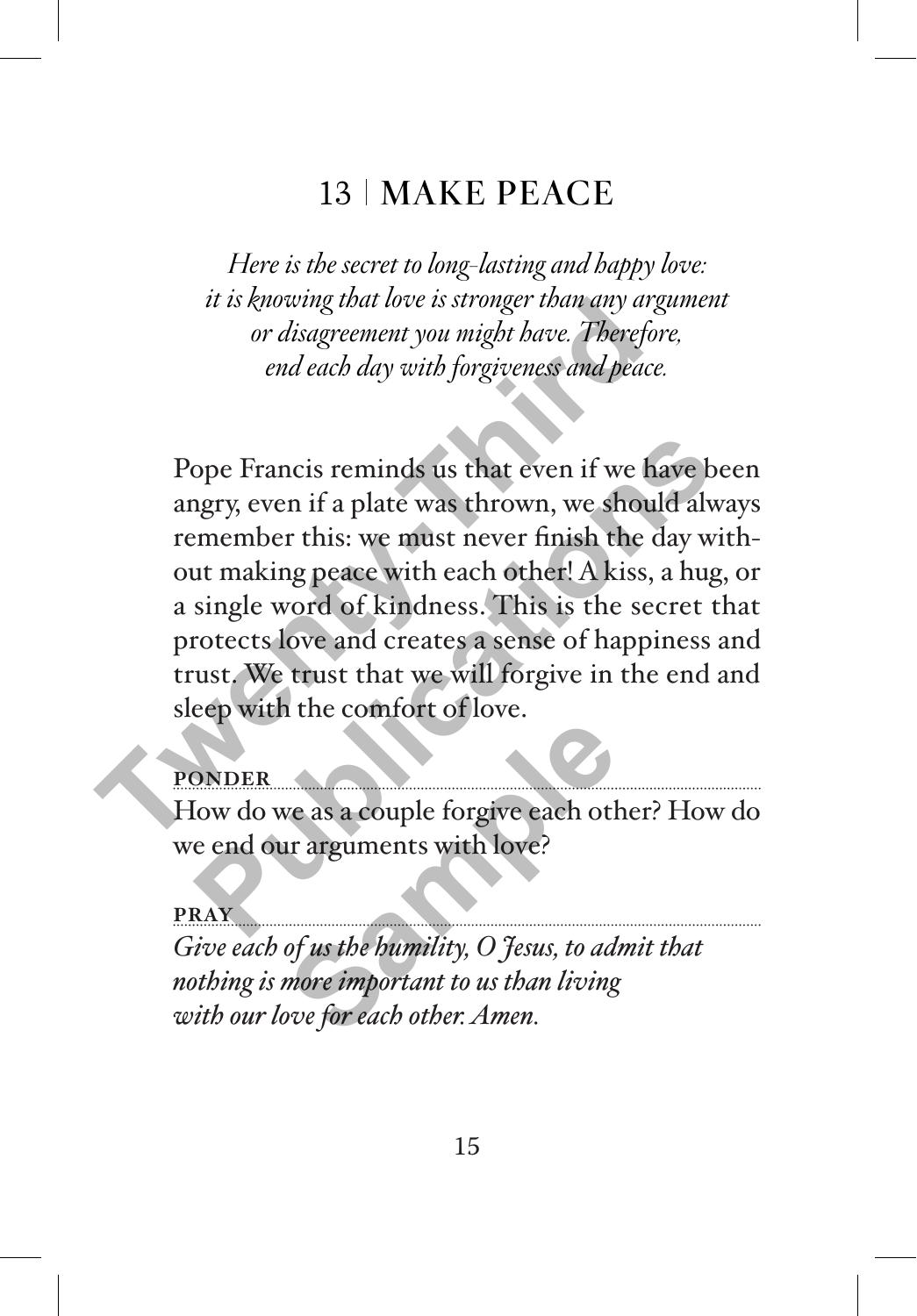## 13 | MAKE PEACE

*Here is the secret to long-lasting and happy love: it is knowing that love is stronger than any argument or disagreement you might have. Therefore, end each day with forgiveness and peace.* 

Pope Francis reminds us that even if we have been angry, even if a plate was thrown, we should always remember this: we must never finish the day without making peace with each other! A kiss, a hug, or a single word of kindness. This is the secret that protects love and creates a sense of happiness and trust. We trust that we will forgive in the end and sleep with the comfort of love. It is knowing that love is stronger than any argin or disagreement you might have. Therefore end each day with forgiveness and peace.<br>Pope Francis reminds us that even if we have any, even if a plate was thrown, we should ope Francis reminds us that even if we have been appry, even if a plate was thrown, we should alware member this: we must never finish the day with ut making peace with each other! A kiss, a hug, of single word of kindness

**PONDER**

How do we as a couple forgive each other? How do we end our arguments with love?

**PRAY** *Give each of us the humility, O Jesus, to admit that nothing is more important to us than living with our love for each other. Amen.*  **Sample 1999**<br>
We as a couple forgive each other<br>
and the property of us the bumility, O fesus, to add<br>
Sample to us the property of the property of the property of the property of the property of the property of the prope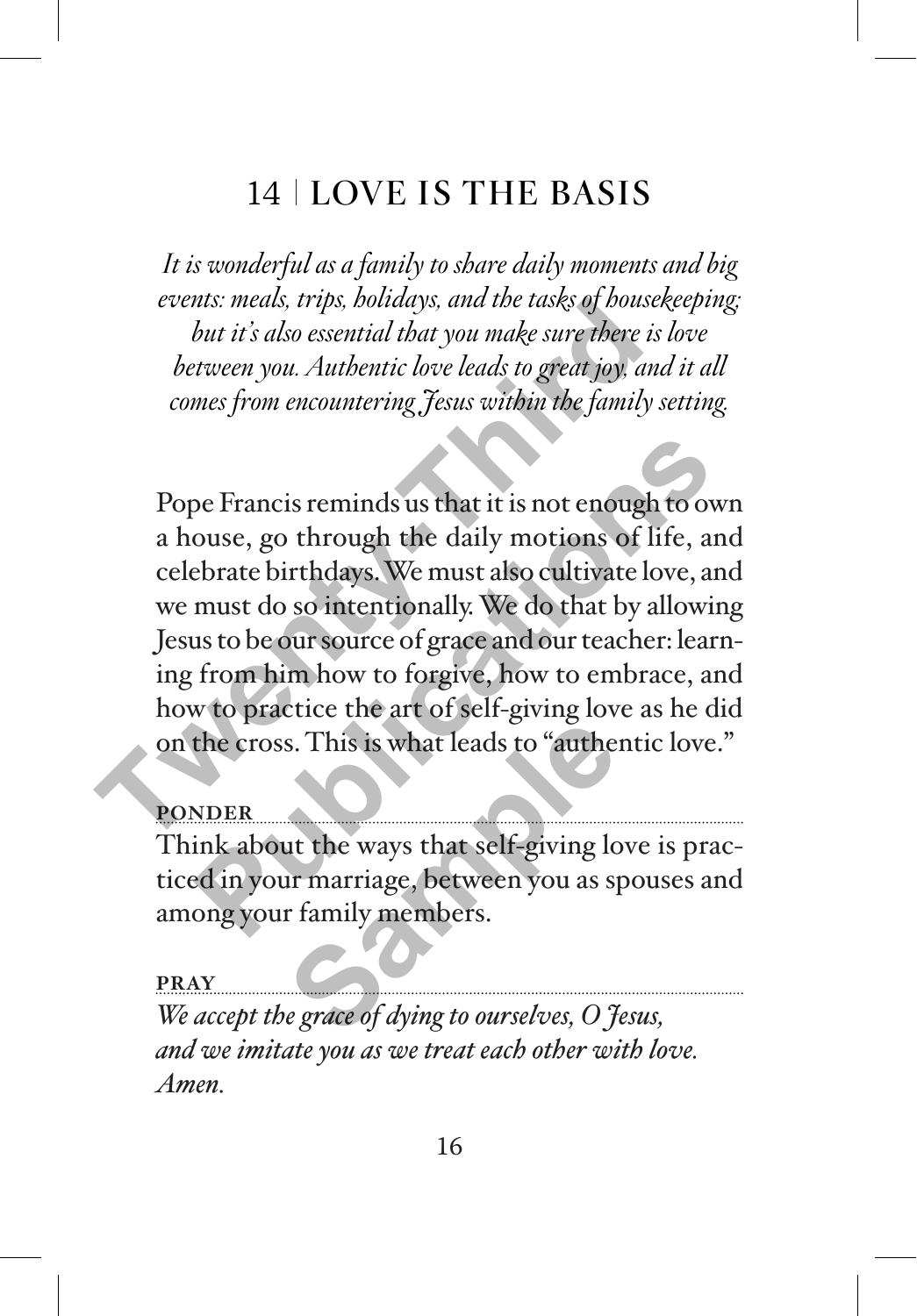# 14 LOVE IS THE BASIS

*It is wonderful as a family to share daily moments and big events: meals, trips, holidays, and the tasks of housekeeping; but it's also essential that you make sure there is love between you. Authentic love leads to great joy, and it all comes from encountering Jesus within the family setting.*

Pope Francis reminds us that it is not enough to own a house, go through the daily motions of life, and celebrate birthdays. We must also cultivate love, and we must do so intentionally. We do that by allowing Jesus to be our source of grace and our teacher: learning from him how to forgive, how to embrace, and how to practice the art of self-giving love as he did on the cross. This is what leads to "authentic love." *Events: meats, trips, poutaays, and the tasks of pouses*<br>*but it's also essential that you make sure there is a*<br>*between you. Authentic love leads to great joy, and*<br>*comes from encountering Jesus within the family same* be Francis reminds us that it is not enough to own<br>ouse, go through the daily motions of life, and<br>ebrate birthdays. We must also cultivate love, and<br>must do so intentionally. We do that by allowing<br>us to be our source of

#### **PONDER**

Think about the ways that self-giving love is practiced in your marriage, between you as spouses and among your family members. s. This is what leads to "auther<br>auther ways that self-giving low<br>the ways that self-giving low<br>framily members.<br>**Example 18 and 20 and 20 and 30 and 30 and 30 and 30**<br>grade of dying to ourselves, O <del>J</del>

#### **PRAY**

*We accept the grace of dying to ourselves, O Jesus, and we imitate you as we treat each other with love. Amen.*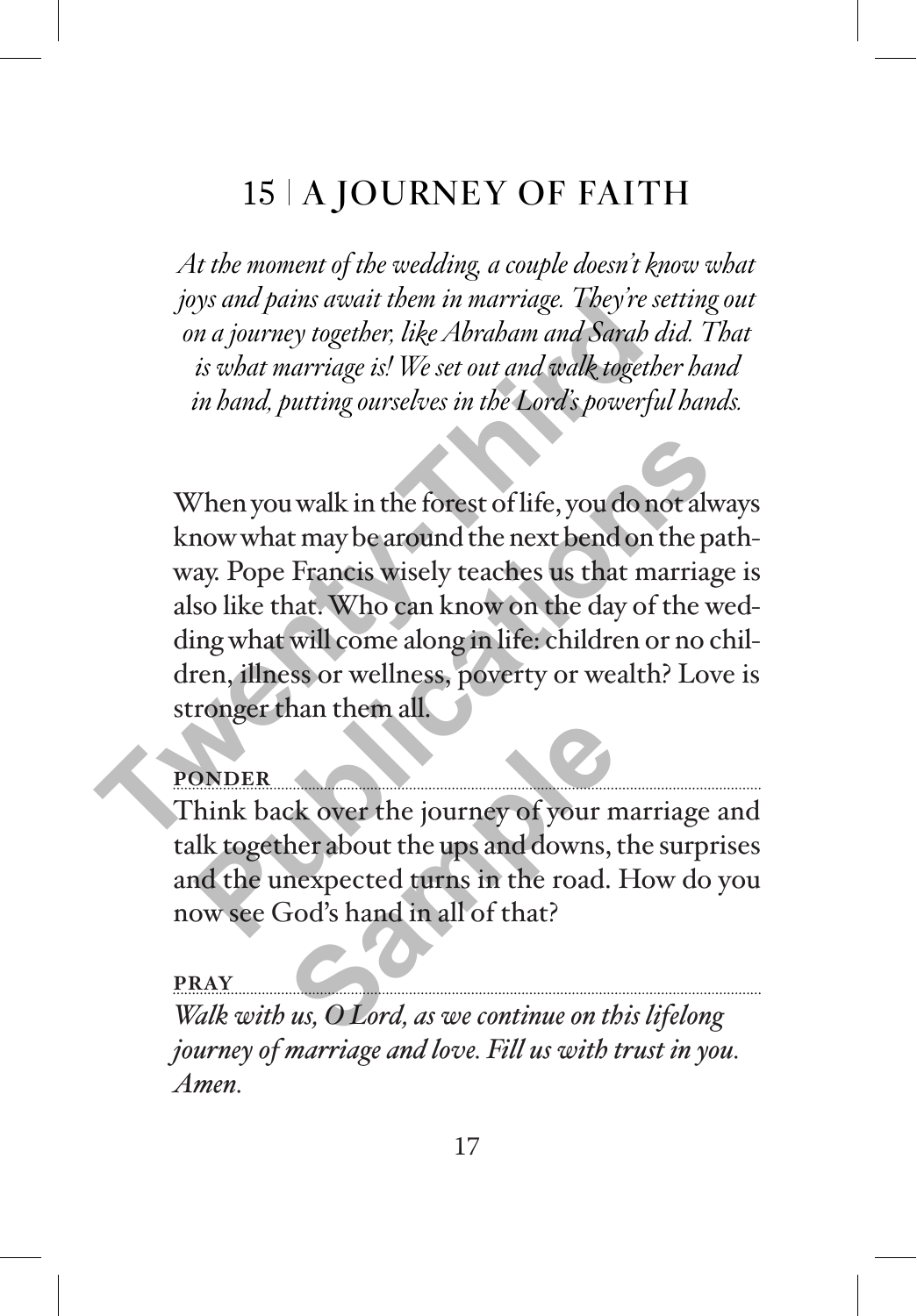# 15 A JOURNEY OF FAITH

*At the moment of the wedding, a couple doesn't know what joys and pains await them in marriage. They're setting out on a journey together, like Abraham and Sarah did. That is what marriage is! We set out and walk together hand in hand, putting ourselves in the Lord's powerful hands.*

When you walk in the forest of life, you do not always know what may be around the next bend on the pathway. Pope Francis wisely teaches us that marriage is also like that. Who can know on the day of the wedding what will come along in life: children or no children, illness or wellness, poverty or wealth? Love is stronger than them all. For the point of the same of the same of the same of the same of the same of the same of the same of the same of the same of the same of the same of the same of the same of the same of the same of the same of the same of t Then you walk in the forest of life, you do not alway<br>now what may be around the next bend on the pat.<br>ay. Pope Francis wisely teaches us that marriage<br>so like that. Who can know on the day of the we<br>ing what will come alo

### **PONDER**

Think back over the journey of your marriage and talk together about the ups and downs, the surprises and the unexpected turns in the road. How do you now see God's hand in all of that? Example the set of the set of your means of your measurement of your measurement of your measurement of the set of the set of the set of the set of the set of the set of the set of the set of the set of the set of the set

**PRAY** *Walk with us, O Lord, as we continue on this lifelong journey of marriage and love. Fill us with trust in you. Amen.*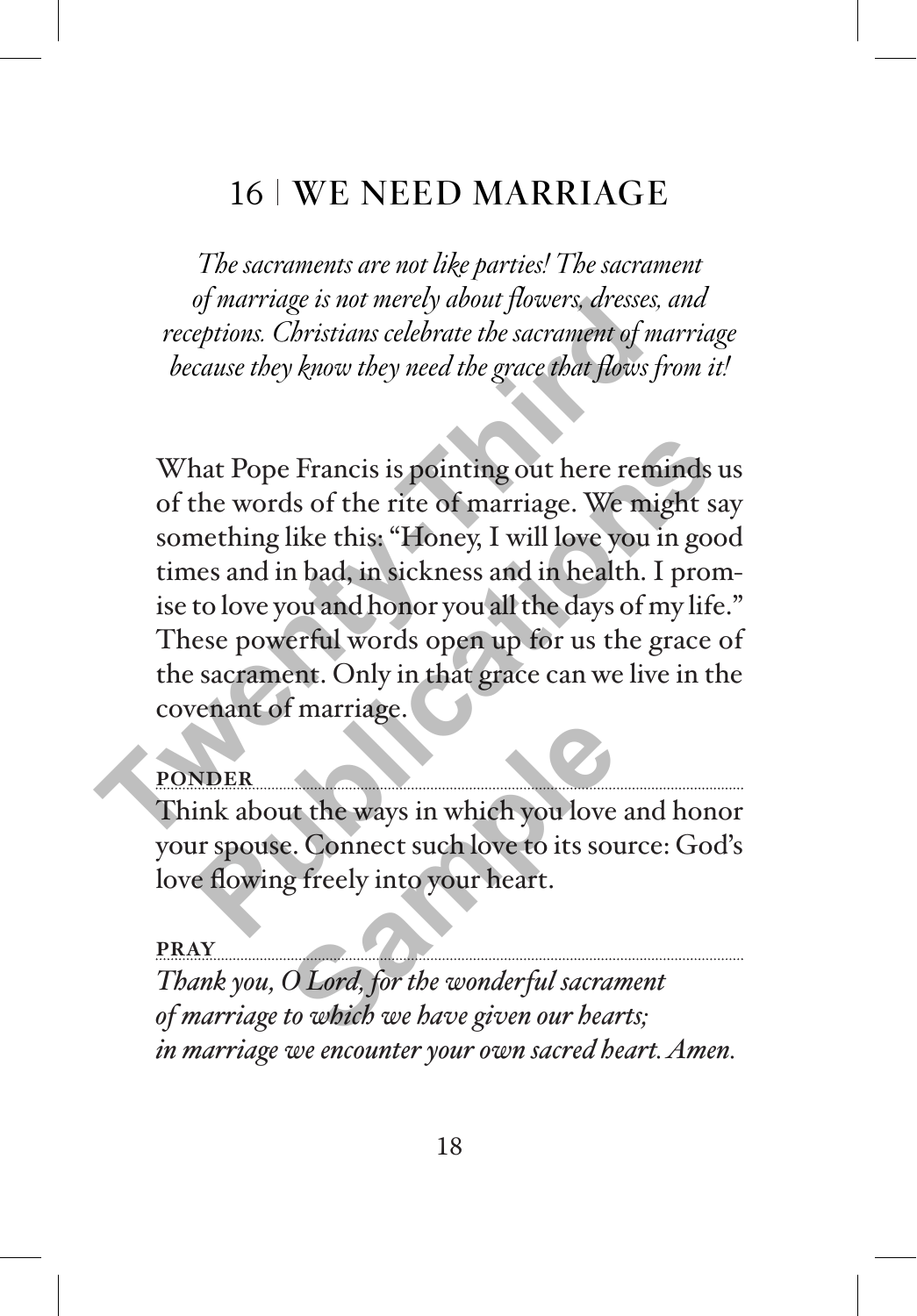## 16 WE NEED MARRIAGE

*The sacraments are not like parties! The sacrament of marriage is not merely about flowers, dresses, and receptions. Christians celebrate the sacrament of marriage because they know they need the grace that flows from it!* 

What Pope Francis is pointing out here reminds us of the words of the rite of marriage. We might say something like this: "Honey, I will love you in good times and in bad, in sickness and in health. I promise to love you and honor you all the days of my life." These powerful words open up for us the grace of the sacrament. Only in that grace can we live in the covenant of marriage. of marriage is not merety about flowers, areases, a<br>receptions. Christians celebrate the sacrament of machines free the grace that flows free because they know they need the grace that flows free SC what Pope Francis is po hat Pope Francis is pointing out here reminds us<br>the words of the rite of marriage. We might say<br>nething like this: "Honey, I will love you in good<br>es and in bad, in sickness and in health. I prom-<br>to love you and honor yo

## **PONDER**

Think about the ways in which you love and honor your spouse. Connect such love to its source: God's love flowing freely into your heart. **Sample 1999**<br>
In the ways in which you love<br>
See Some the Source to its source that<br>
Sample of the some of the Wonderful sacration<br>
Contains to which we have given our head

#### **PRAY**

*Thank you, O Lord, for the wonderful sacrament of marriage to which we have given our hearts; in marriage we encounter your own sacred heart. Amen.*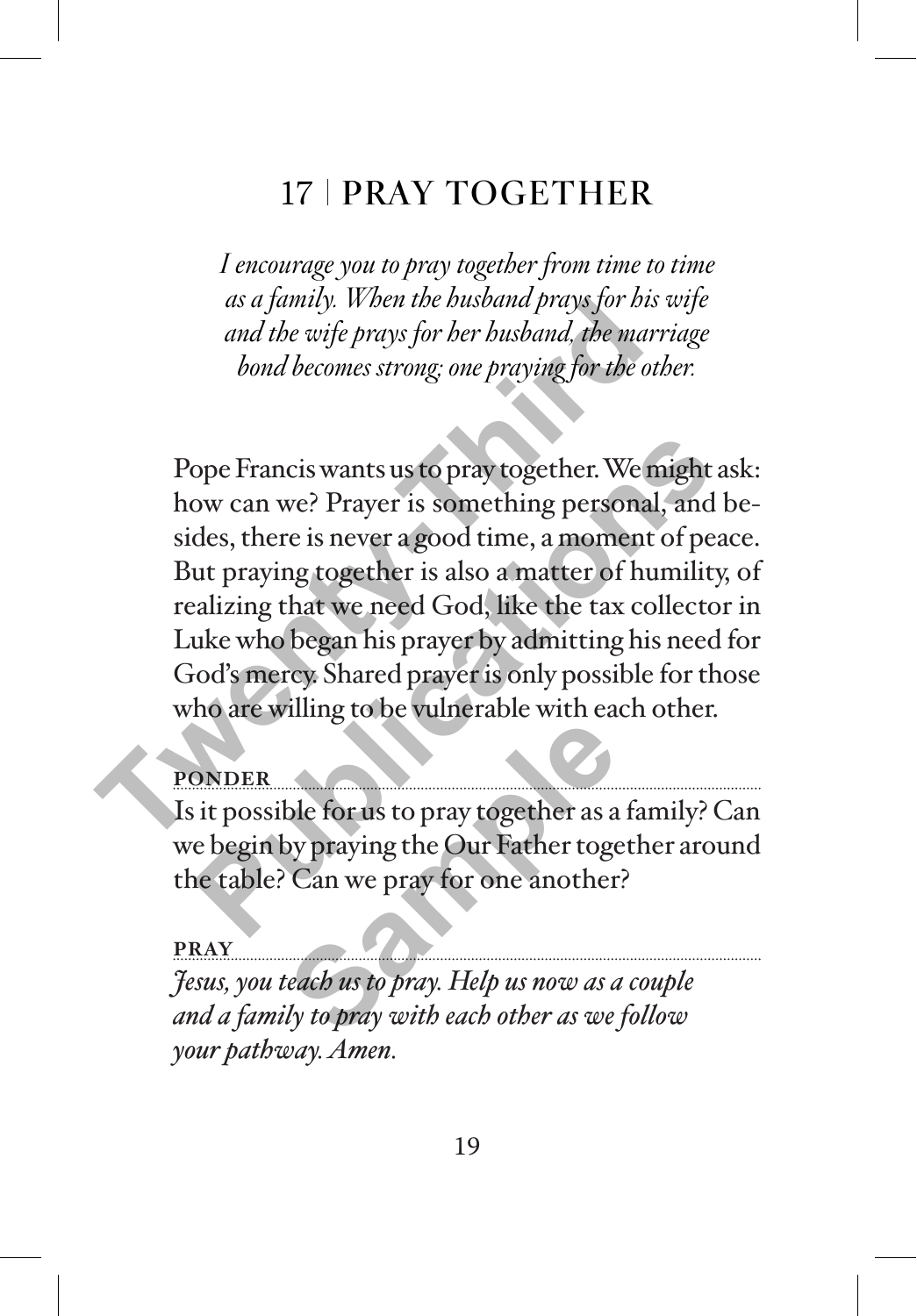# 17 | PRAY TOGETHER

*I encourage you to pray together from time to time as a family. When the husband prays for his wife and the wife prays for her husband, the marriage bond becomes strong; one praying for the other.*

Pope Francis wants us to pray together. We might ask: how can we? Prayer is something personal, and besides, there is never a good time, a moment of peace. But praying together is also a matter of humility, of realizing that we need God, like the tax collector in Luke who began his prayer by admitting his need for God's mercy. Shared prayer is only possible for those who are willing to be vulnerable with each other. as a *famity. When the busband prays for his* and the wife prays for her busband, the marr<br>and the wife prays for her busband, the marr<br>bond becomes strong: one praying for the oth<br>Pope Francis wants us to pray together. W ope Francis wants us to pray together. We might as<br>ow can we? Prayer is something personal, and b<br>des, there is never a good time, a moment of peac<br>ut praying together is also a matter of humility,<br>alizing that we need God

### **PONDER**

Is it possible for us to pray together as a family? Can we begin by praying the Our Father together around the table? Can we pray for one another? Be for us to pray together as a<br>by praying the Our Father toge<br>Can we pray for one another<br>teach us to pray. Help us now as a<br>ly to pray with each other as we

#### **PRAY**

*Jesus, you teach us to pray. Help us now as a couple and a family to pray with each other as we follow your pathway. Amen.*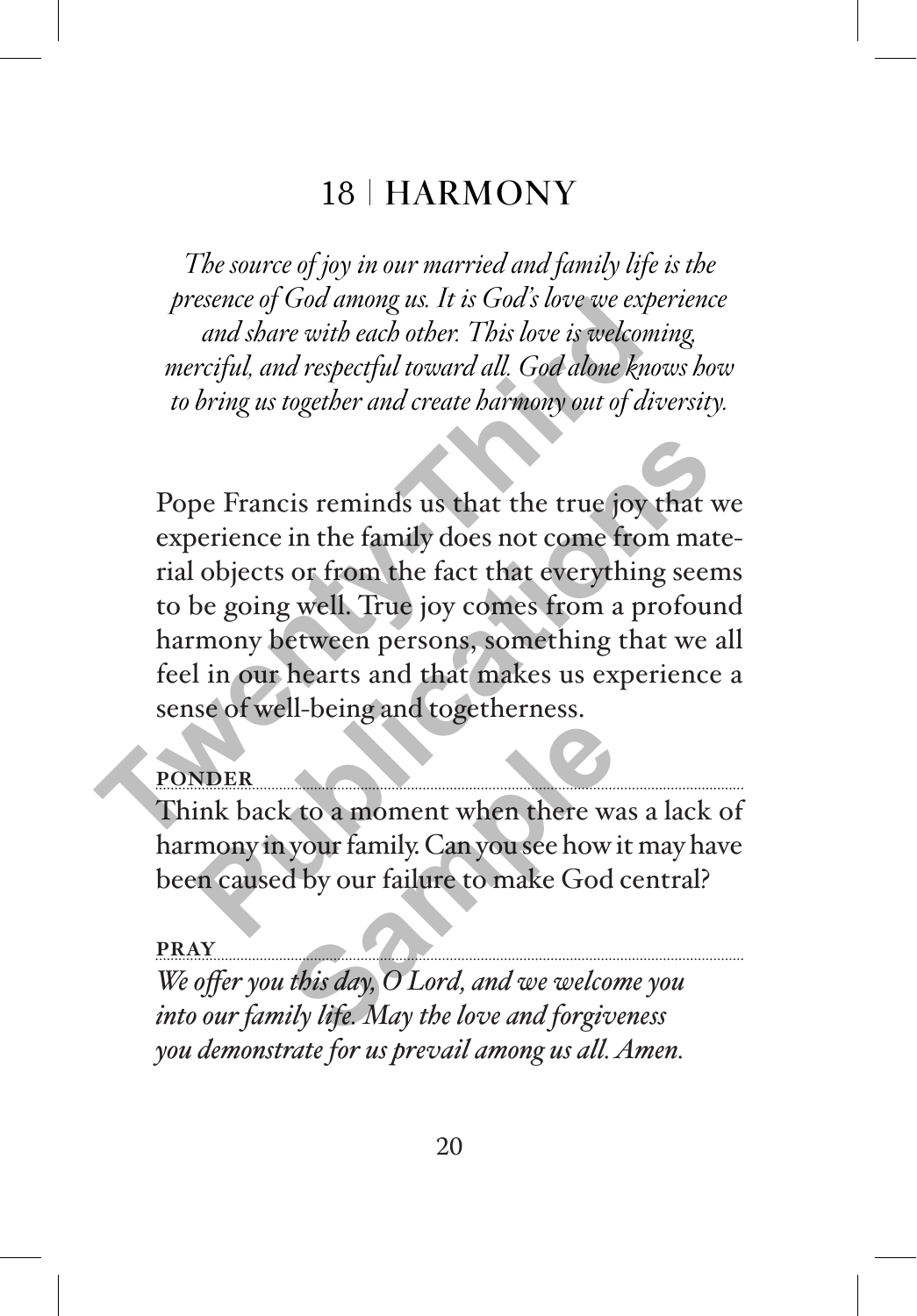## 18 | HARMONY

*The source of joy in our married and family life is the presence of God among us. It is God's love we experience and share with each other. This love is welcoming, merciful, and respectful toward all. God alone knows how to bring us together and create harmony out of diversity.* 

Pope Francis reminds us that the true joy that we experience in the family does not come from material objects or from the fact that everything seems to be going well. True joy comes from a profound harmony between persons, something that we all feel in our hearts and that makes us experience a sense of well-being and togetherness. presence of God among us. It is God's love we experimented and share with each other. This love is welcomin<br>merciful, and respectful toward all. God alone know<br>to bring us together and create barmony out of diverse<br>to brin pe Francis reminds us that the true joy that we<br>berience in the family does not come from mate-<br>objects or from the fact that everything seems<br>be going well. True joy comes from a profound<br>mony between persons, something t

### **PONDER**

Think back to a moment when there was a lack of harmony in your family. Can you see how it may have been caused by our failure to make God central? Example 18 a moment when there we<br>your family. Can you see how if<br>this *day*, *O Lord, and we welcon*<br>ily *life. May the love and forgive* 

#### **PRAY**

*We offer you this day, O Lord, and we welcome you into our family life. May the love and forgiveness you demonstrate for us prevail among us all. Amen.*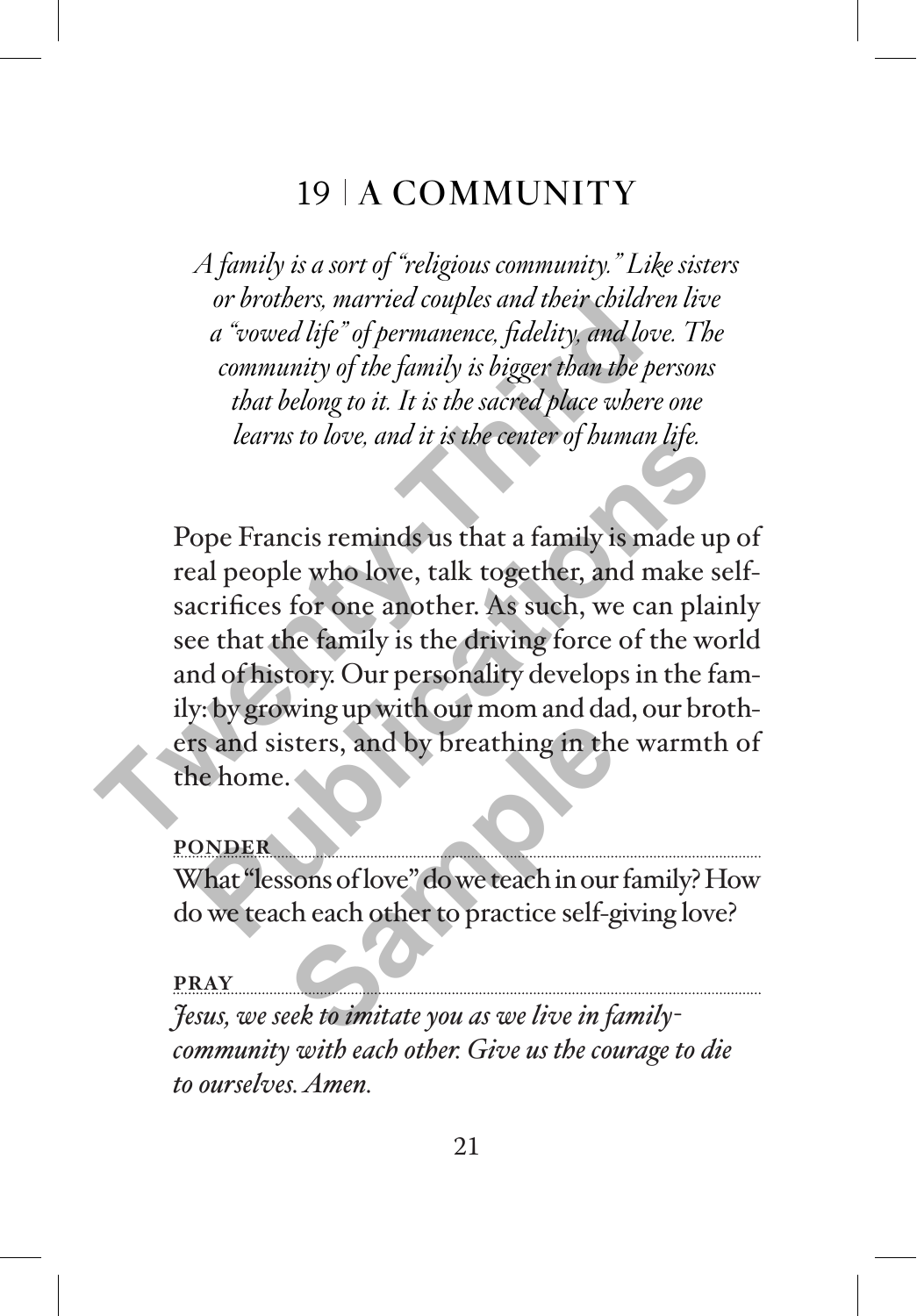## 19 A COMMUNITY

*A family is a sort of "religious community." Like sisters or brothers, married couples and their children live a "vowed life" of permanence, fidelity, and love. The community of the family is bigger than the persons that belong to it. It is the sacred place where one learns to love, and it is the center of human life.* 

Pope Francis reminds us that a family is made up of real people who love, talk together, and make selfsacrifices for one another. As such, we can plainly see that the family is the driving force of the world and of history. Our personality develops in the family: by growing up with our mom and dad, our brothers and sisters, and by breathing in the warmth of the home. or *orothers*, *married couples and their contants*<br>*a* "*vowed life*" *of permanence, fidelity, and love*<br>*community of the family is bigger than the per*<br>*that belong to it. It is the sacred place where*<br>*learns to love, Publications to love, and it is the center of buman tife.*<br>
pope Francis reminds us that a family is made up<br>
all people who love, talk together, and make selecrifices for one another. As such, we can plain<br>
be that the f sters, and by breathing in the<br>sters, and by breathing in the<br>sons of love" do we teach in our<br>chead of the contract of the stern of the steel of the steel of the steel of the steel of the steel of the steel<br>seek to imitat

**PONDER**

What "lessons of love" do we teach in our family? How do we teach each other to practice self-giving love?

**PRAY** *Jesus, we seek to imitate you as we live in familycommunity with each other. Give us the courage to die to ourselves. Amen.*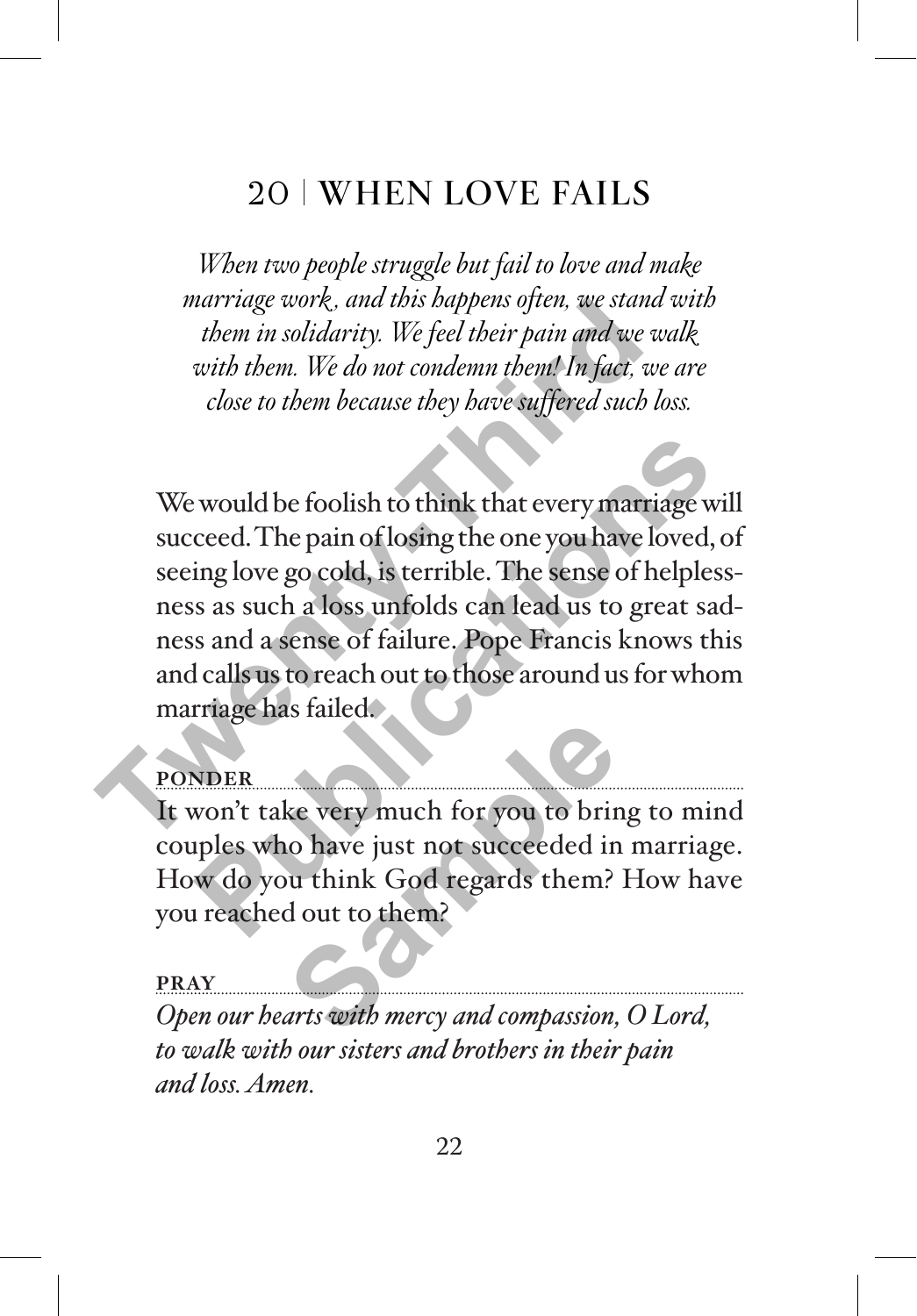# 20 WHEN LOVE FAILS

*When two people struggle but fail to love and make marriage work , and this happens often, we stand with them in solidarity. We feel their pain and we walk with them. We do not condemn them! In fact, we are close to them because they have suffered such loss.*

We would be foolish to think that every marriage will succeed. The pain of losing the one you have loved, of seeing love go cold, is terrible. The sense of helplessness as such a loss unfolds can lead us to great sadness and a sense of failure. Pope Francis knows this and calls us to reach out to those around us for whom marriage has failed. marriage work, and this happens often, we stand<br>them in solidarity. We feel their pain and we we<br>with them. We do not condemn them! In fact, we<br>close to them because they have suffered such lo<br>close to them because they ha Publication and the foolish to think that every marriage will<br>ceed. The pain of losing the one you have loved, of<br>ing love go cold, is terrible. The sense of helpless-<br>s as such a loss unfolds can lead us to great sad-<br>s a

#### **PONDER**

It won't take very much for you to bring to mind couples who have just not succeeded in marriage. How do you think God regards them? How have you reached out to them? **EXECUTE:**<br> **PONDER**<br> **Open our hearts with mercy and compassion, O Lord,**<br> **Open our hearts with mercy and compassion, O Lord,**<br> **Open our hearts with mercy and compassion, O Lord,** 

#### **PRAY**

*to walk with our sisters and brothers in their pain and loss. Amen.*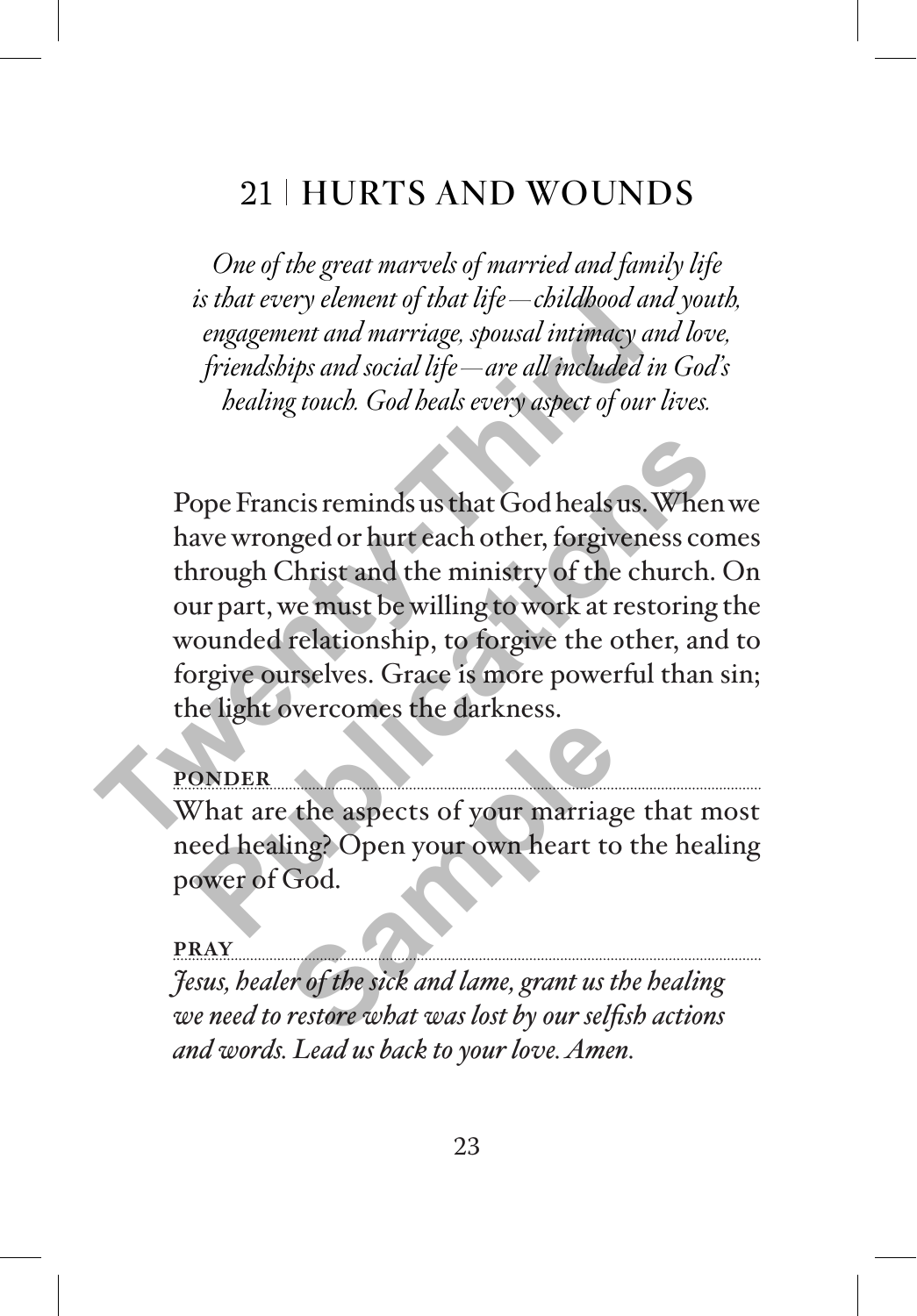# 21 HURTS AND WOUNDS

*One of the great marvels of married and family life is that every element of that life—childhood and youth, engagement and marriage, spousal intimacy and love, friendships and social life—are all included in God's healing touch. God heals every aspect of our lives.*

Pope Francis reminds us that God heals us. When we have wronged or hurt each other, forgiveness comes through Christ and the ministry of the church. On our part, we must be willing to work at restoring the wounded relationship, to forgive the other, and to forgive ourselves. Grace is more powerful than sin; the light overcomes the darkness. *That every element of that tye—contabood and<br>engagement and marriage, spousal intimacy and<br>friendships and social life—are all included in<br>bealing touch. God heals every aspect of our la<br>healing touch. God heals every asp* ope Francis reminds us that God heals us. When w<br>ave wronged or hurt each other, forgiveness com<br>nrough Christ and the ministry of the church. C<br>ur part, we must be willing to work at restoring th<br>ounded relationship, to f

### **PONDER**

What are the aspects of your marriage that most need healing? Open your own heart to the healing power of God. The dispects of your marriagrephy of the aspects of your marriagrephy of the side of the side and lame, grant us to the side what was lost by our self

#### **PRAY**

*Jesus, healer of the sick and lame, grant us the healing we need to restore what was lost by our selfish actions and words. Lead us back to your love. Amen.*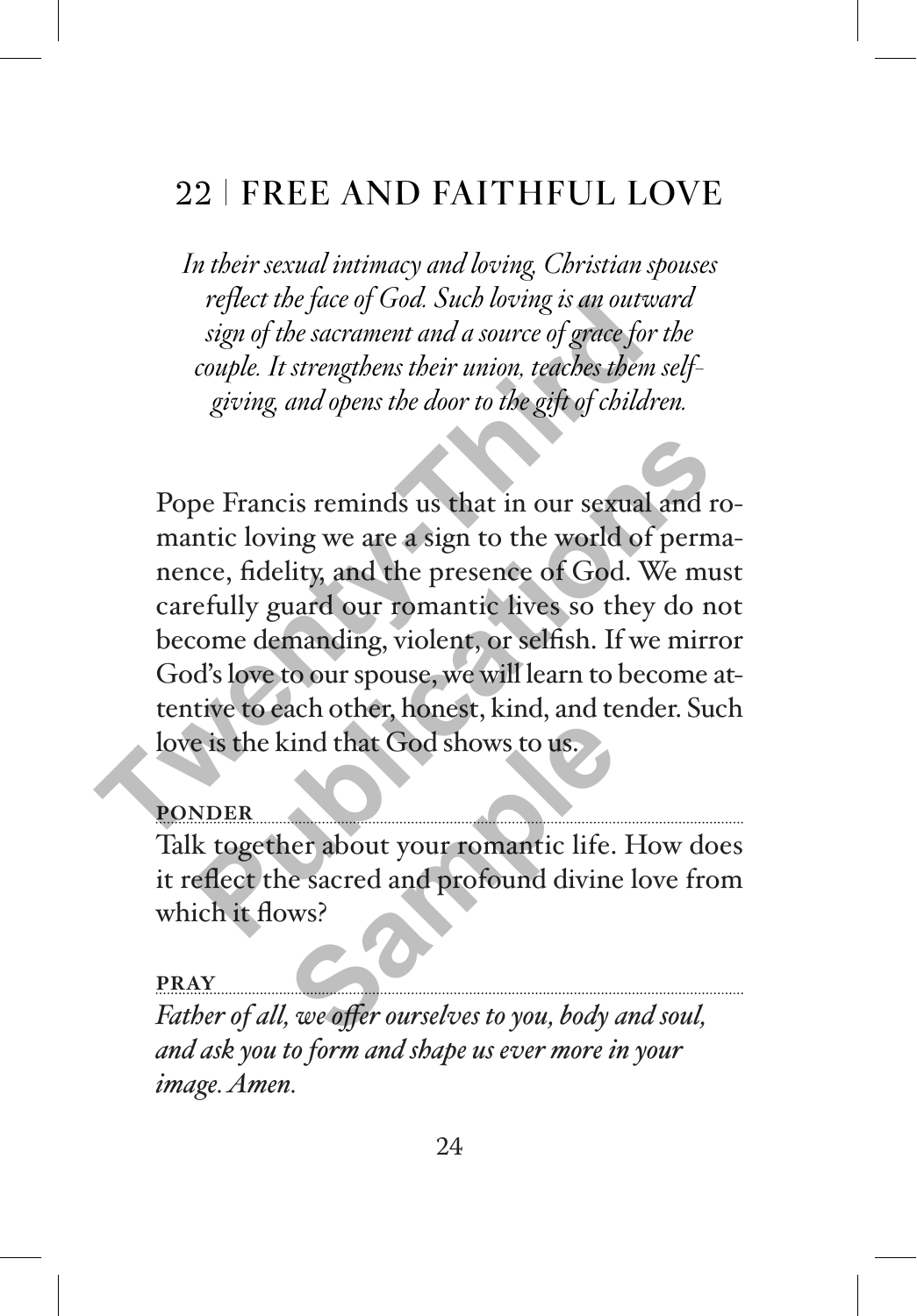# 22 FREE AND FAITHFUL LOVE

*In their sexual intimacy and loving, Christian spouses reflect the face of God. Such loving is an outward sign of the sacrament and a source of grace for the couple. It strengthens their union, teaches them selfgiving, and opens the door to the gift of children.* 

Pope Francis reminds us that in our sexual and romantic loving we are a sign to the world of permanence, fidelity, and the presence of God. We must carefully guard our romantic lives so they do not become demanding, violent, or selfish. If we mirror God's love to our spouse, we will learn to become attentive to each other, honest, kind, and tender. Such love is the kind that God shows to us. reflect the face of God. Such loving is an outward sign of the sacrament and a source of grace for t<br>couple. It strengthens their union, teaches them s<br>giving, and opens the door to the gift of childre<br>experiment and opens pe Francis reminds us that in our sexual and ro-<br>ntic loving we are a sign to the world of perma-<br>nce, fidelity, and the presence of God. We must<br>efully guard our romantic lives so they do not<br>come demanding, violent, or s

#### **PONDER**

Talk together about your romantic life. How does it reflect the sacred and profound divine love from which it flows? Find that God shows to us.<br>
The sacred and profound divine<br>
Sacred and profound divine<br>
Sacred and profound divine<br>
Sacred and profound divine<br>
Sacred and profound divine<br>
Sacred and profound divine<br>
Sacred and profound di

#### **PRAY**

*Father of all, we offer ourselves to you, body and soul, and ask you to form and shape us ever more in your image. Amen.*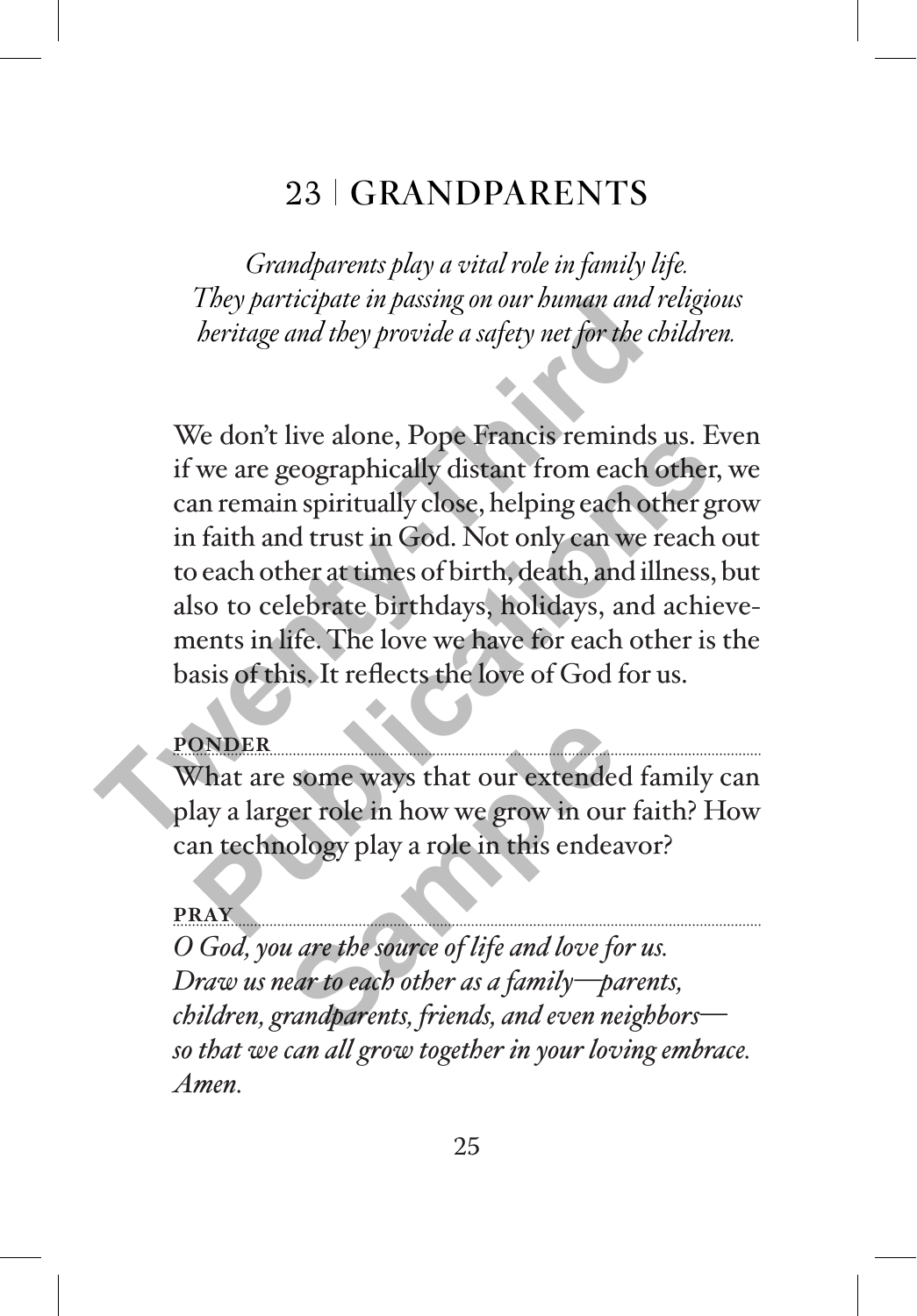## 23 GRANDPARENTS

*Grandparents play a vital role in family life. They participate in passing on our human and religious heritage and they provide a safety net for the children.*

We don't live alone, Pope Francis reminds us. Even if we are geographically distant from each other, we can remain spiritually close, helping each other grow in faith and trust in God. Not only can we reach out to each other at times of birth, death, and illness, but also to celebrate birthdays, holidays, and achievements in life. The love we have for each other is the basis of this. It reflects the love of God for us. They participate in passing on our buman and reporting the characterization of the characterization of the characterization of the control of the control of the characterization of the set of can remain spiritually close, For the don't live alone, Pope Francis reminds us. Eve<br>
we are geographically distant from each other, v<br>
in remain spiritually close, helping each other gro<br>
faith and trust in God. Not only can we reach of<br>
each other at

### **PONDER**

What are some ways that our extended family can play a larger role in how we grow in our faith? How can technology play a role in this endeavor?

**PRAY** *O God, you are the source of life and love for us. Draw us near to each other as a family—parents, children, grandparents, friends, and even neighbors so that we can all grow together in your loving embrace. Amen.* some ways that our extender<br>ger role in how we grow in our<br>lology play a role in this endear<br>*u* are the source of life and love for<br>ear to each other as a family—parandparents, friends, and even ne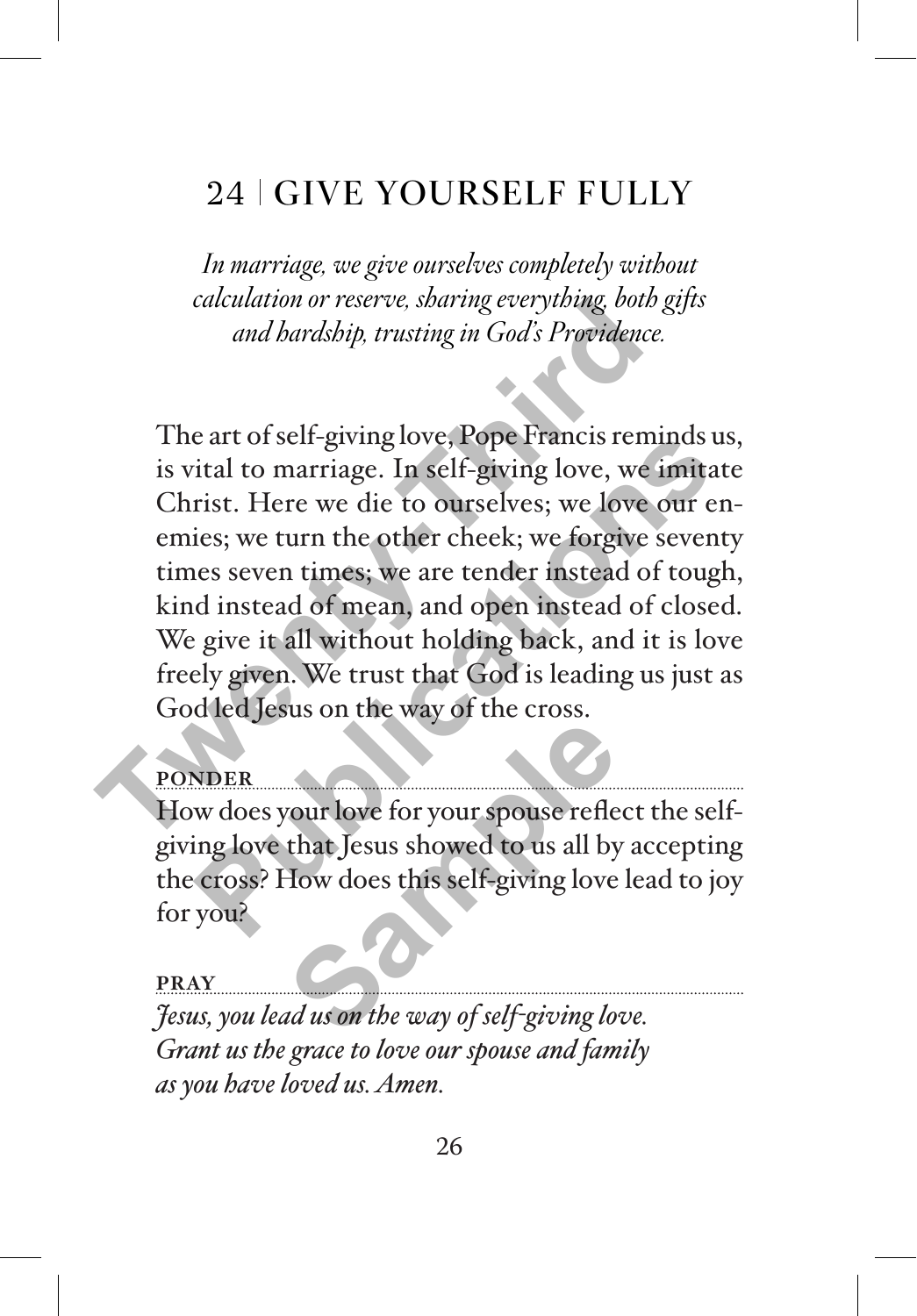# 24 GIVE YOURSELF FULLY

*In marriage, we give ourselves completely without calculation or reserve, sharing everything, both gifts and hardship, trusting in God's Providence.*

The art of self-giving love, Pope Francis reminds us, is vital to marriage. In self-giving love, we imitate Christ. Here we die to ourselves; we love our enemies; we turn the other cheek; we forgive seventy times seven times; we are tender instead of tough, kind instead of mean, and open instead of closed. We give it all without holding back, and it is love freely given. We trust that God is leading us just as God led Jesus on the way of the cross. calculation or reserve, sparing everytoing, both gang and bardship, trusting in God's Providence.<br>
The art of self-giving love, Pope Francis remin<br>
is vital to marriage. In self-giving love, we in<br>
Christ. Here we die to o e art of self-giving love, Pope Francis reminds us<br>
ital to marriage. In self-giving love, we imitate<br>
rist. Here we die to ourselves; we love our en-<br>
ies; we turn the other cheek; we forgive seventy<br>
nes seven times; we

## **PONDER**

How does your love for your spouse reflect the selfgiving love that Jesus showed to us all by accepting the cross? How does this self-giving love lead to joy for you? Figure 1993<br>
Samples of the United States of the United States of the United States of the United States of the United States<br>
Samples of the United States of the United States of the United States of the United States of

#### **PRAY**

*Jesus, you lead us on the way of self-giving love. Grant us the grace to love our spouse and family as you have loved us. Amen.*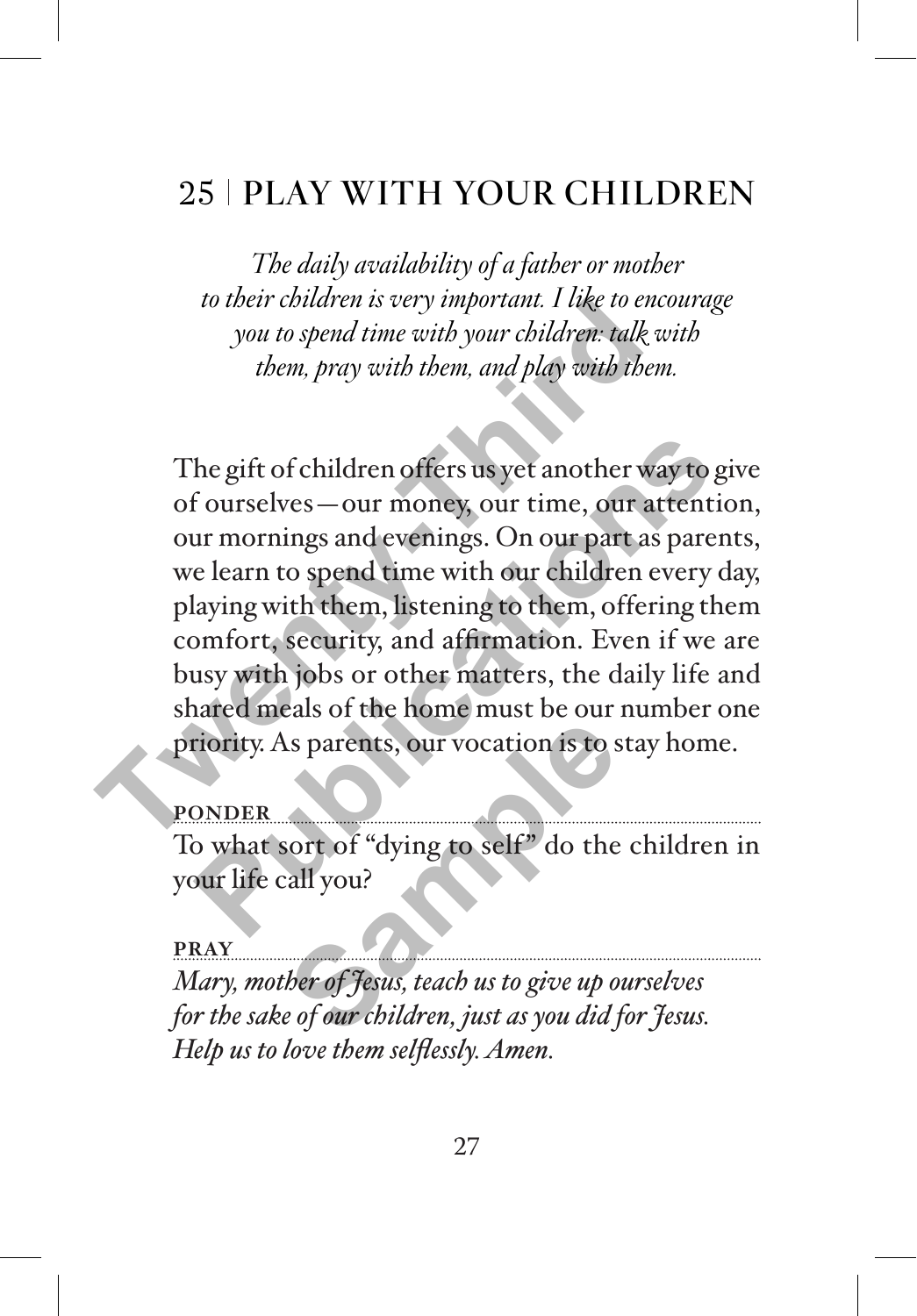# 25 PLAY WITH YOUR CHILDREN

*The daily availability of a father or mother to their children is very important. I like to encourage you to spend time with your children: talk with them, pray with them, and play with them.*

The gift of children offers us yet another way to give of ourselves—our money, our time, our attention, our mornings and evenings. On our part as parents, we learn to spend time with our children every day, playing with them, listening to them, offering them comfort, security, and affirmation. Even if we are busy with jobs or other matters, the daily life and shared meals of the home must be our number one priority. As parents, our vocation is to stay home. To their children is very mportant. I use to encourant to them, pray with them, and play with them<br>them, pray with them, and play with them<br>them, pray with them, and play with them<br>of ourselves — our money, our time, our a the gift of children offers us yet another way to gift of children offers us yet another way to gift our sure to ur mornings and evenings. On our part as parent e learn to spend time with our children every dailying with t

**PONDER**

To what sort of "dying to self" do the children in your life call you?

**PRAY**

*Mary, mother of Jesus, teach us to give up ourselves for the sake of our children, just as you did for Jesus. Help us to love them selflessly. Amen.* **Sample 1999**<br>
Sort of "dying to self" do the<br>
Sort of "dying to self" do the<br>
Sall you?<br>
Samples to give up to the proof fless, teach us to give up of our children, just as you did j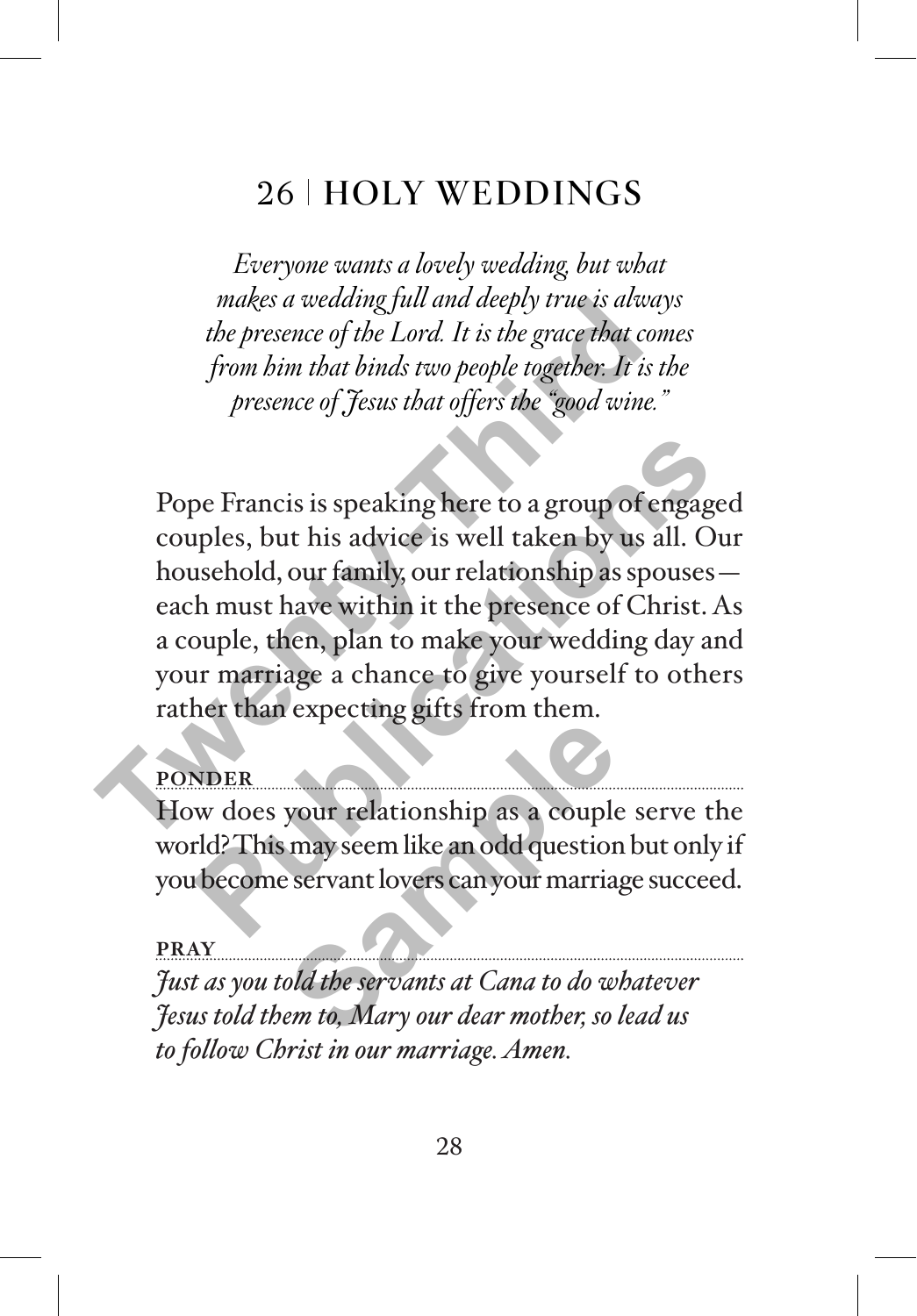## 26 HOLY WEDDINGS

*Everyone wants a lovely wedding, but what makes a wedding full and deeply true is always the presence of the Lord. It is the grace that comes from him that binds two people together. It is the presence of Jesus that offers the "good wine."* 

Pope Francis is speaking here to a group of engaged couples, but his advice is well taken by us all. Our household, our family, our relationship as spouses each must have within it the presence of Christ. As a couple, then, plan to make your wedding day and your marriage a chance to give yourself to others rather than expecting gifts from them. makes a weaang juu and aeepty true is away<br>the presence of the Lord. It is the grace that con<br>from him that binds two people together. It is to<br>presence of Jesus that offers the "good wine."<br>Pope Francis is speaking here t pe Francis is speaking here to a group of engaged<br>uples, but his advice is well taken by us all. Our<br>usehold, our family, our relationship as spouses—<br>th must have within it the presence of Christ. As<br>ouple, then, plan to

#### **PONDER**

How does your relationship as a couple serve the world? This may seem like an odd question but only if you become servant lovers can your marriage succeed. **Sample 1989**<br>
Sample may seem like an odd question<br>
Servant lovers can your marria<br>
Sample marria at Cana to do w.<br>
Sample of the servants at Cana to do w.<br>
Servants at Cana to do w.<br>
Servants at Cana to do w.

#### **PRAY**

*Just as you told the servants at Cana to do whatever Jesus told them to, Mary our dear mother, so lead us to follow Christ in our marriage. Amen.*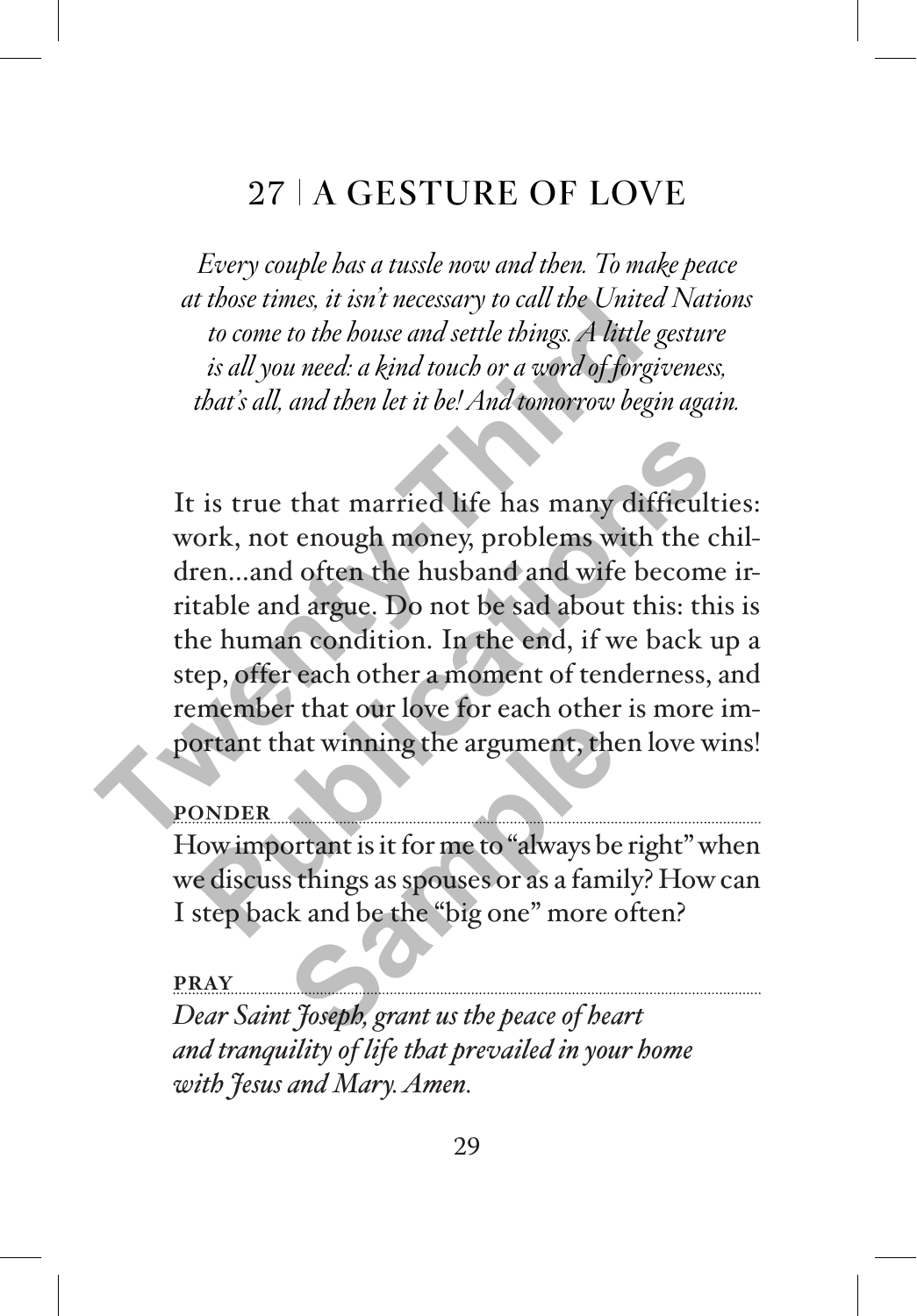# 27 | A GESTURE OF LOVE

*Every couple has a tussle now and then. To make peace at those times, it isn't necessary to call the United Nations to come to the house and settle things. A little gesture is all you need: a kind touch or a word of forgiveness, that's all, and then let it be! And tomorrow begin again.*

It is true that married life has many difficulties: work, not enough money, problems with the children...and often the husband and wife become irritable and argue. Do not be sad about this: this is the human condition. In the end, if we back up a step, offer each other a moment of tenderness, and remember that our love for each other is more important that winning the argument, then love wins! at those times, it isn't necessary to call the Ontreat<br>to come to the bouse and settle things. A little go<br>is all you need: a kind touch or a word of forgit<br>that's all, and then let it be! And tomorrow begin<br>that's all, an <sup>2</sup> is true that married life has many difficultie<br>ork, not enough money, problems with the ch<br>ren...and often the husband and wife become i<br>table and argue. Do not be sad about this: this<br>ne human condition. In the end, i

#### **PONDER**

How important is it for me to "always be right" when we discuss things as spouses or as a family? How can I step back and be the "big one" more often? at winning the argument, the<br>portant is it for me to "always be<br>sthings as spouses or as a fami<br>k and be the "big one" more of<br>foseph, grant us the peace of heat

**PRAY** *Dear Saint Joseph, grant us the peace of heart and tranquility of life that prevailed in your home with Jesus and Mary. Amen.*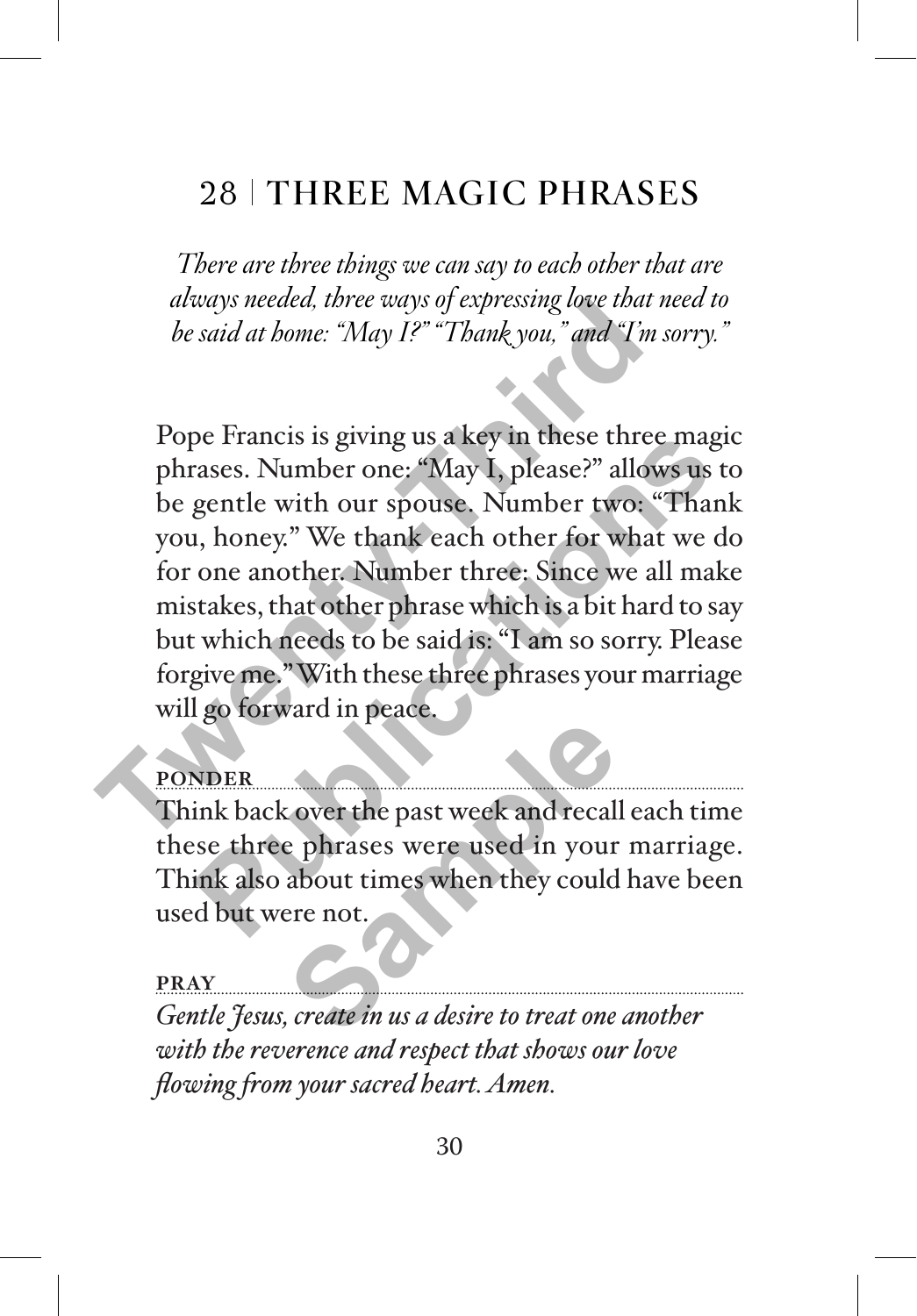# 28 THREE MAGIC PHRASES

*There are three things we can say to each other that are always needed, three ways of expressing love that need to be said at home: "May I?" "Thank you," and "I'm sorry."* 

Pope Francis is giving us a key in these three magic phrases. Number one: "May I, please?" allows us to be gentle with our spouse. Number two: "Thank you, honey." We thank each other for what we do for one another. Number three: Since we all make mistakes, that other phrase which is a bit hard to say but which needs to be said is: "I am so sorry. Please forgive me." With these three phrases your marriage will go forward in peace. atways needed, three ways of expressing love that n<br>be said at home: "May I?" "Thank you," and "I'm s<br>Pope Francis is giving us a key in these three<br>phrases. Number one: "May I, please?" allow<br>be gentle with our spouse. Nu pe Francis is giving us a key in these three magic<br>rases. Number one: "May I, please?" allows us to<br>gentle with our spouse. Number two: "Thank<br>1, honey." We thank each other for what we do<br>one another. Number three: Since

### **PONDER**

Think back over the past week and recall each time these three phrases were used in your marriage. Think also about times when they could have been used but were not. Find the past week and recall<br> **Sample phrases were used in your about times when they could**<br>
ere not.<br>
Find the *sample was a desire to treat one* 

#### **PRAY**

*Gentle Jesus, create in us a desire to treat one another with the reverence and respect that shows our love flowing from your sacred heart. Amen.*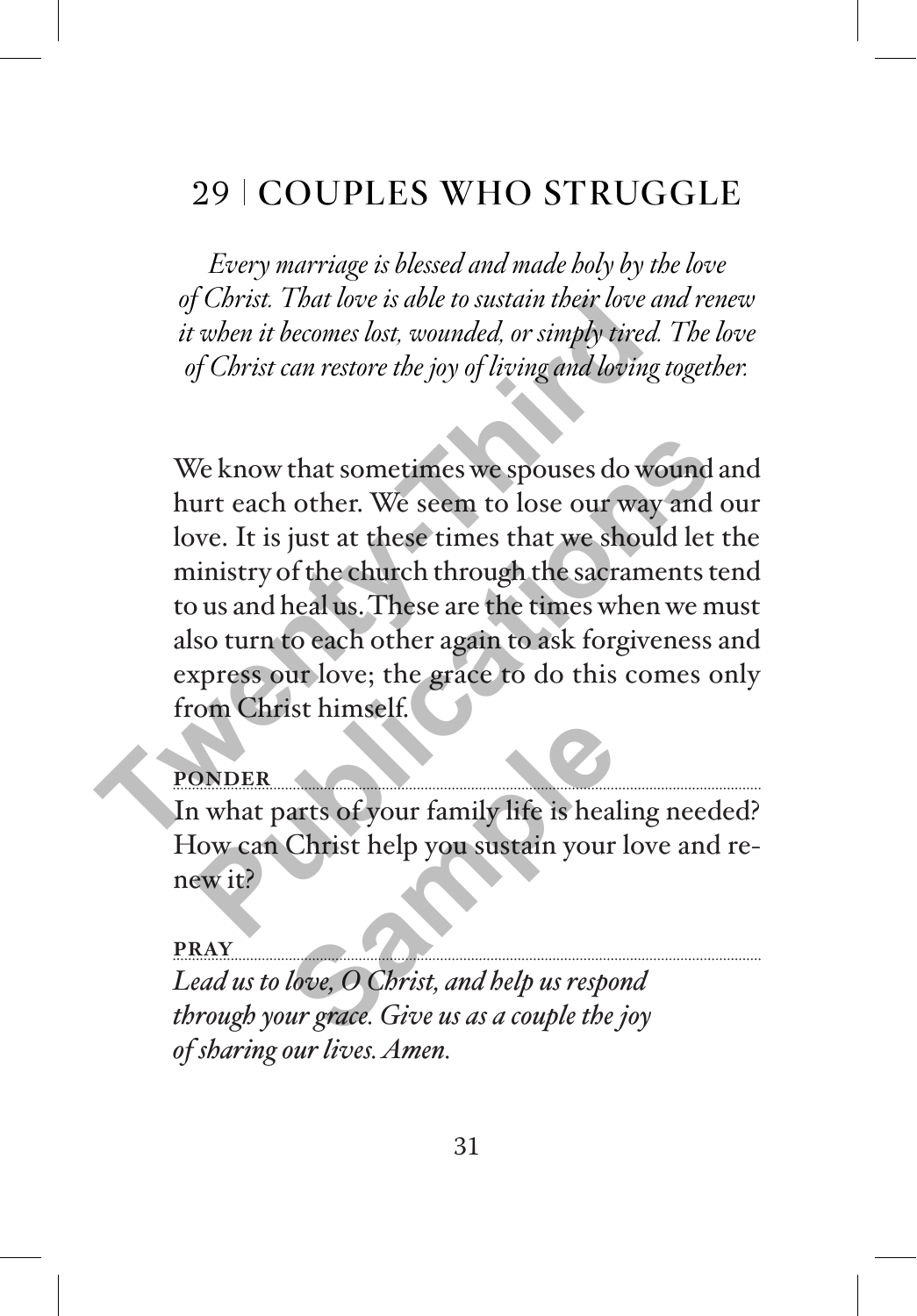# 29 COUPLES WHO STRUGGLE

*Every marriage is blessed and made holy by the love of Christ. That love is able to sustain their love and renew it when it becomes lost, wounded, or simply tired. The love of Christ can restore the joy of living and loving together.*

We know that sometimes we spouses do wound and hurt each other. We seem to lose our way and our love. It is just at these times that we should let the ministry of the church through the sacraments tend to us and heal us. These are the times when we must also turn to each other again to ask forgiveness and express our love; the grace to do this comes only from Christ himself. *That love is able to sustain their love a*<br>*it when it becomes lost, wounded, or simply tired.*<br>*of Christ can restore the joy of living and loving i*<br>*We know that sometimes we spouses do wo*<br>hurt each other. We seem to We know that sometimes we spouses do wound an<br>urt each other. We seem to lose our way and or<br>we. It is just at these times that we should let the<br>inistry of the church through the sacraments ter<br>us and heal us. These are t

### **PONDER**

In what parts of your family life is healing needed? How can Christ help you sustain your love and renew it? Family life is heal<br>Christ help you sustain your<br>*love*, O Christ, and help us respo<br>*love*, O Christ, and help us respo<br>*ur grace. Give us as a couple the* 

#### **PRAY**

*Lead us to love, O Christ, and help us respond through your grace. Give us as a couple the joy of sharing our lives. Amen.*